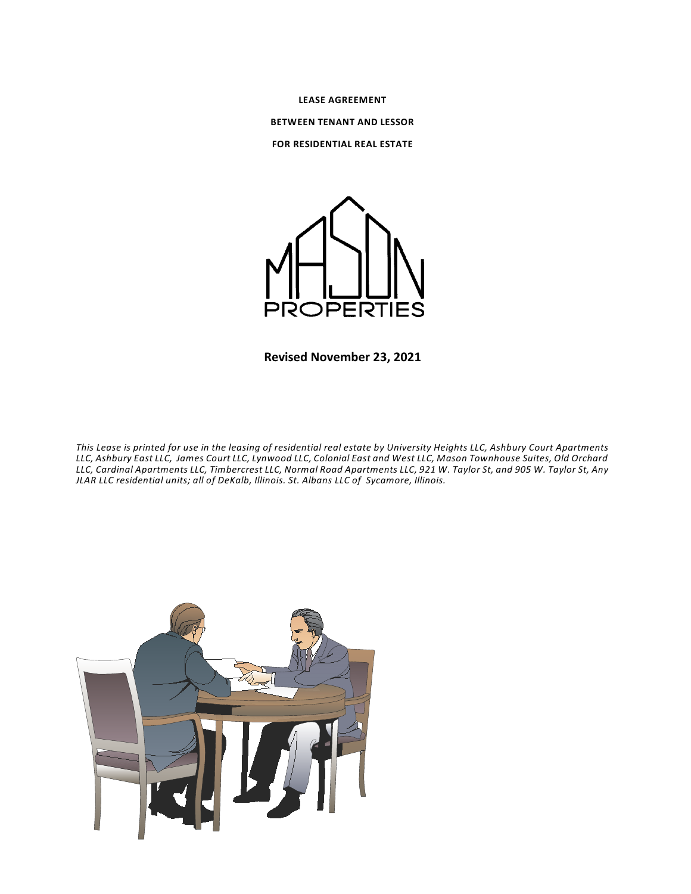**LEASE AGREEMENT BETWEEN TENANT AND LESSOR FOR RESIDENTIAL REAL ESTATE**



**Revised November 23, 2021**

This Lease is printed for use in the leasing of residential real estate by University Heights LLC, Ashbury Court Apartments LLC, Ashbury East LLC, James Court LLC, Lynwood LLC, Colonial East and West LLC, Mason Townhouse Suites, Old Orchard LLC, Cardinal Apartments LLC, Timbercrest LLC, Normal Road Apartments LLC, 921 W. Taylor St, and 905 W. Taylor St, Any *JLAR LLC residential units; all of DeKalb, Illinois. St. Albans LLC of Sycamore, Illinois.*

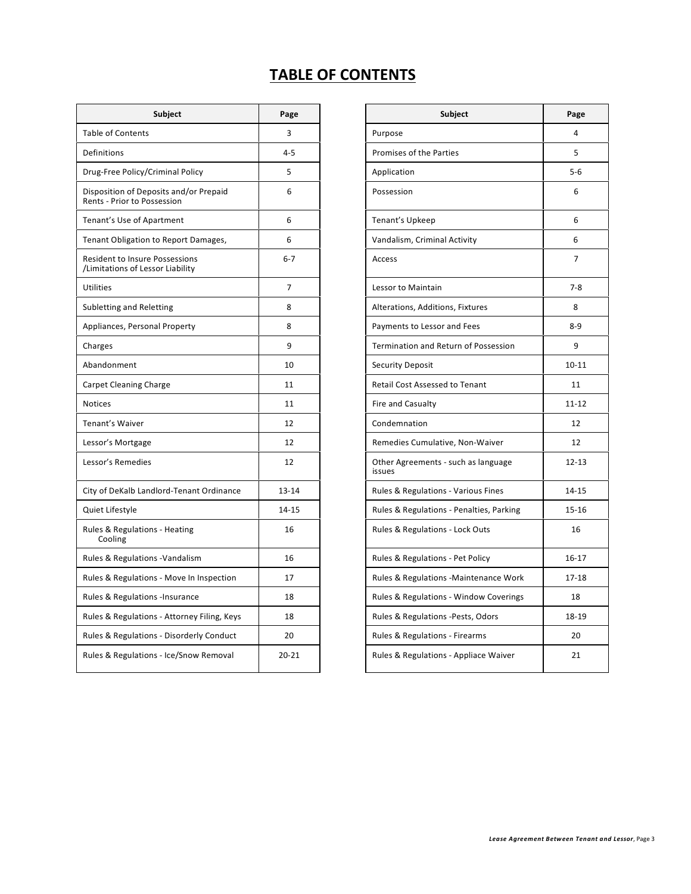# **TABLE OF CONTENTS**

| Subject                                                                   | Page           | Subject                                       | Page           |
|---------------------------------------------------------------------------|----------------|-----------------------------------------------|----------------|
| <b>Table of Contents</b>                                                  | 3              | Purpose                                       | 4              |
| Definitions                                                               | $4 - 5$        | <b>Promises of the Parties</b>                | 5              |
| Drug-Free Policy/Criminal Policy                                          | 5              | Application                                   | $5 - 6$        |
| Disposition of Deposits and/or Prepaid<br>Rents - Prior to Possession     | 6              | Possession                                    | 6              |
| Tenant's Use of Apartment                                                 | 6              | Tenant's Upkeep                               | 6              |
| Tenant Obligation to Report Damages,                                      | 6              | Vandalism, Criminal Activity                  | 6              |
| <b>Resident to Insure Possessions</b><br>/Limitations of Lessor Liability | $6 - 7$        | Access                                        | $\overline{7}$ |
| Utilities                                                                 | $\overline{7}$ | Lessor to Maintain                            | $7 - 8$        |
| Subletting and Reletting                                                  | 8              | Alterations, Additions, Fixtures              | 8              |
| Appliances, Personal Property                                             | 8              | Payments to Lessor and Fees                   | $8 - 9$        |
| Charges                                                                   | 9              | <b>Termination and Return of Possession</b>   | 9              |
| Abandonment                                                               | 10             | <b>Security Deposit</b>                       | $10 - 11$      |
| <b>Carpet Cleaning Charge</b>                                             | 11             | Retail Cost Assessed to Tenant                | 11             |
| <b>Notices</b>                                                            | 11             | Fire and Casualty                             | $11 - 12$      |
| <b>Tenant's Waiver</b>                                                    | 12             | Condemnation                                  | 12             |
| Lessor's Mortgage                                                         | 12             | Remedies Cumulative, Non-Waiver               | 12             |
| Lessor's Remedies                                                         | 12             | Other Agreements - such as language<br>issues | $12 - 13$      |
| City of DeKalb Landlord-Tenant Ordinance                                  | $13 - 14$      | Rules & Regulations - Various Fines           | $14 - 15$      |
| Quiet Lifestyle                                                           | 14-15          | Rules & Regulations - Penalties, Parking      | $15 - 16$      |
| Rules & Regulations - Heating<br>Cooling                                  | 16             | Rules & Regulations - Lock Outs               | 16             |
| Rules & Regulations - Vandalism                                           | 16             | Rules & Regulations - Pet Policy              | $16 - 17$      |
| Rules & Regulations - Move In Inspection                                  | 17             | Rules & Regulations -Maintenance Work         | $17 - 18$      |
| Rules & Regulations -Insurance                                            | 18             | Rules & Regulations - Window Coverings        | 18             |
| Rules & Regulations - Attorney Filing, Keys                               | 18             | Rules & Regulations -Pests, Odors             | 18-19          |
| Rules & Regulations - Disorderly Conduct                                  | 20             | Rules & Regulations - Firearms                | 20             |
| Rules & Regulations - Ice/Snow Removal                                    | $20 - 21$      | Rules & Regulations - Appliace Waiver         | 21             |

| Subject                         | Page      |                              | Subject                                       | Page           |
|---------------------------------|-----------|------------------------------|-----------------------------------------------|----------------|
|                                 | 3         |                              | Purpose                                       | $\overline{4}$ |
|                                 | $4 - 5$   |                              | Promises of the Parties                       | 5              |
| riminal Policy                  | 5         | Application                  |                                               | $5-6$          |
| osits and/or Prepaid<br>session | 6         |                              | Possession                                    | 6              |
| artment                         | 6         |                              | Tenant's Upkeep                               | 6              |
| to Report Damages,              | 6         | Vandalism, Criminal Activity |                                               | 6              |
| Possessions<br>sor Liability    | $6 - 7$   |                              | Access                                        | $\overline{7}$ |
|                                 | 7         |                              | Lessor to Maintain                            | $7 - 8$        |
| tting!                          | 8         |                              | Alterations, Additions, Fixtures              | 8              |
| al Property                     | 8         |                              | Payments to Lessor and Fees                   | $8 - 9$        |
|                                 | 9         |                              | Termination and Return of Possession          | 9              |
|                                 | 10        |                              | <b>Security Deposit</b>                       | $10 - 11$      |
| arge                            | 11        |                              | Retail Cost Assessed to Tenant                | 11             |
|                                 | 11        |                              | Fire and Casualty                             | $11 - 12$      |
|                                 | 12        |                              | Condemnation                                  | 12             |
|                                 | 12        |                              | Remedies Cumulative, Non-Waiver               | 12             |
|                                 | 12        |                              | Other Agreements - such as language<br>issues | $12 - 13$      |
| llord-Tenant Ordinance          | 13-14     |                              | Rules & Regulations - Various Fines           | 14-15          |
|                                 | $14 - 15$ |                              | Rules & Regulations - Penalties, Parking      | 15-16          |
| s - Heating                     | 16        |                              | Rules & Regulations - Lock Outs               | 16             |
| s -Vandalism                    | 16        |                              | Rules & Regulations - Pet Policy              | $16 - 17$      |
| s - Move In Inspection          | 17        |                              | Rules & Regulations - Maintenance Work        | $17 - 18$      |
| s-Insurance                     | 18        |                              | Rules & Regulations - Window Coverings        | 18             |
| s - Attorney Filing, Keys       | 18        |                              | Rules & Regulations -Pests, Odors             | 18-19          |
| s - Disorderly Conduct          | 20        |                              | Rules & Regulations - Firearms                | 20             |
| s - Ice/Snow Removal            | $20 - 21$ |                              | Rules & Regulations - Appliace Waiver         | 21             |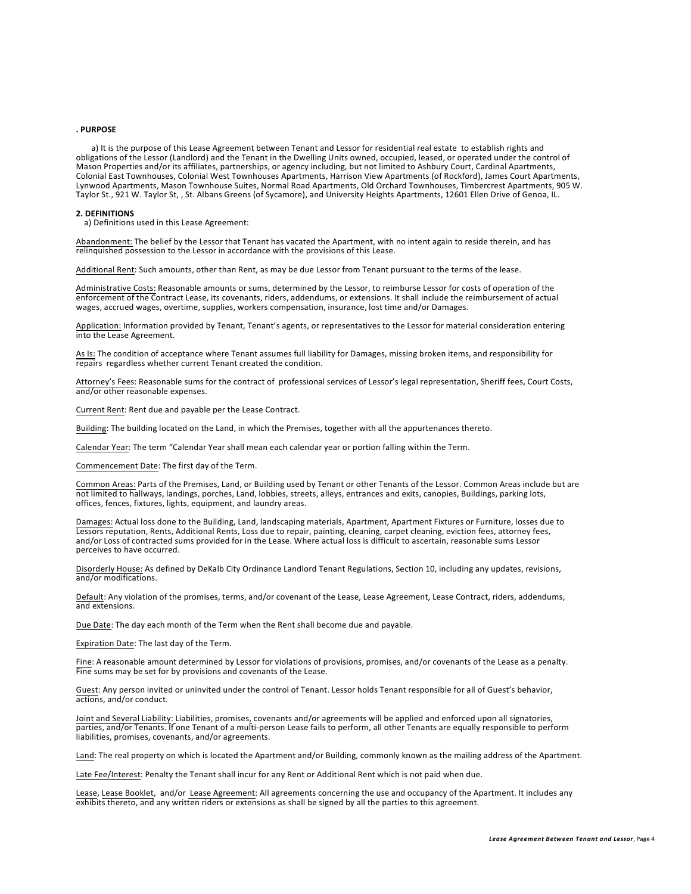# **. PURPOSE**

a) It is the purpose of this Lease Agreement between Tenant and Lessor for residential real estate to establish rights and obligations of the Lessor (Landlord) and the Tenant in the Dwelling Units owned, occupied, leased, or operated under the control of Mason Properties and/or its affiliates, partnerships, or agency including, but not limited to Ashbury Court, Cardinal Apartments, Colonial East Townhouses, Colonial West Townhouses Apartments, Harrison View Apartments (of Rockford), James Court Apartments, Lynwood Apartments, Mason Townhouse Suites, Normal Road Apartments, Old Orchard Townhouses, Timbercrest Apartments, 905 W. Taylor St., 921 W. Taylor St, , St. Albans Greens (of Sycamore), and University Heights Apartments, 12601 Ellen Drive of Genoa, IL.

#### **2. DEFINITIONS**

a) Definitions used in this Lease Agreement:

Abandonment: The belief by the Lessor that Tenant has vacated the Apartment, with no intent again to reside therein, and has relinquished possession to the Lessor in accordance with the provisions of this Lease.

Additional Rent: Such amounts, other than Rent, as may be due Lessor from Tenant pursuant to the terms of the lease.

Administrative Costs: Reasonable amounts or sums, determined by the Lessor, to reimburse Lessor for costs of operation of the enforcement of the Contract Lease, its covenants, riders, addendums, or extensions. It shall include the reimbursement of actual wages, accrued wages, overtime, supplies, workers compensation, insurance, lost time and/or Damages.

Application: Information provided by Tenant, Tenant's agents, or representatives to the Lessor for material consideration entering into the Lease Agreement.

As Is: The condition of acceptance where Tenant assumes full liability for Damages, missing broken items, and responsibility for repairs regardless whether current Tenant created the condition.

Attorney's Fees: Reasonable sums for the contract of professional services of Lessor's legal representation, Sheriff fees, Court Costs, **ANDITE:** AND THE CONDITE CAME .

Current Rent: Rent due and payable per the Lease Contract.

Building: The building located on the Land, in which the Premises, together with all the appurtenances thereto.

Calendar Year: The term "Calendar Year shall mean each calendar year or portion falling within the Term.

Commencement Date: The first day of the Term.

Common Areas: Parts of the Premises, Land, or Building used by Tenant or other Tenants of the Lessor. Common Areas include but are not limited to hallways, landings, porches, Land, lobbies, streets, alleys, entrances and exits, canopies, Buildings, parking lots, offices, fences, fixtures, lights, equipment, and laundry areas.

Damages: Actual loss done to the Building, Land, landscaping materials, Apartment, Apartment Fixtures or Furniture, losses due to Lessors reputation, Rents, Additional Rents, Loss due to repair, painting, cleaning, carpet cleaning, eviction fees, attorney fees, and/or Loss of contracted sums provided for in the Lease. Where actual loss is difficult to ascertain, reasonable sums Lessor perceives to have occurred.

Disorderly House: As defined by DeKalb City Ordinance Landlord Tenant Regulations, Section 10, including any updates, revisions, and/or modifications.

Default: Any violation of the promises, terms, and/or covenant of the Lease, Lease Agreement, Lease Contract, riders, addendums, and extensions.

Due Date: The day each month of the Term when the Rent shall become due and payable.

Expiration Date: The last day of the Term.

Fine: A reasonable amount determined by Lessor for violations of provisions, promises, and/or covenants of the Lease as a penalty. Fine sums may be set for by provisions and covenants of the Lease.

Guest: Any person invited or uninvited under the control of Tenant. Lessor holds Tenant responsible for all of Guest's behavior, actions, and/or conduct.

Joint and Several Liability: Liabilities, promises, covenants and/or agreements will be applied and enforced upon all signatories, parties, and/or Tenants. If one Tenant of a multi-person Lease fails to perform, all other Tenants are equally responsible to perform liabilities, promises, covenants, and/or agreements.

Land: The real property on which is located the Apartment and/or Building, commonly known as the mailing address of the Apartment.

Late Fee/Interest: Penalty the Tenant shall incur for any Rent or Additional Rent which is not paid when due.

Lease, Lease Booklet, and/or Lease Agreement: All agreements concerning the use and occupancy of the Apartment. It includes any exhibits thereto, and any written riders or extensions as shall be signed by all the parties to this agreement.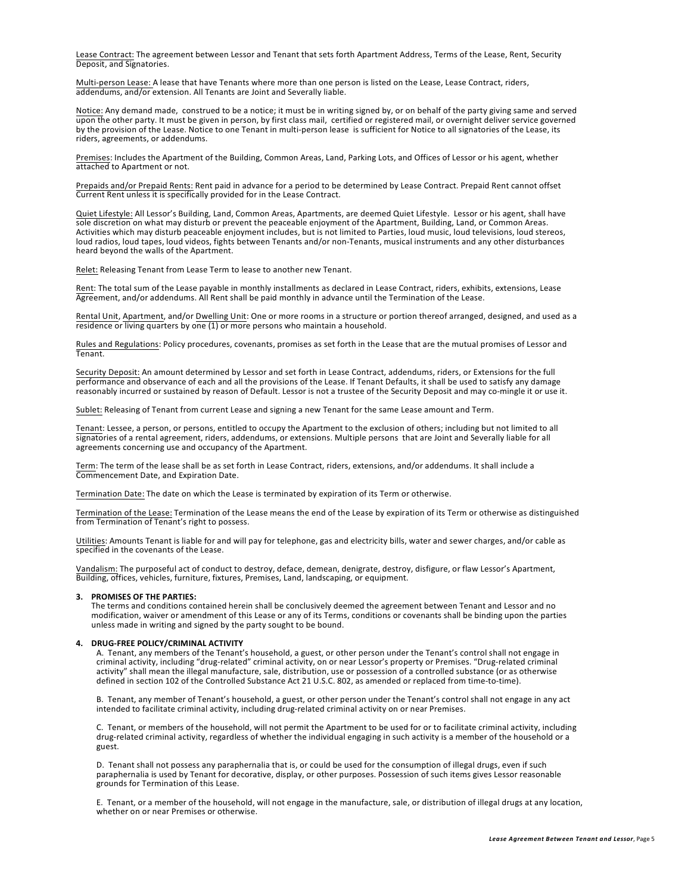Lease Contract: The agreement between Lessor and Tenant that sets forth Apartment Address, Terms of the Lease, Rent, Security Deposit, and Signatories.

Multi-person Lease: A lease that have Tenants where more than one person is listed on the Lease, Lease Contract, riders, addendums, and/or extension. All Tenants are Joint and Severally liable.

Notice: Any demand made, construed to be a notice; it must be in writing signed by, or on behalf of the party giving same and served upon the other party. It must be given in person, by first class mail, certified or registered mail, or overnight deliver service governed by the provision of the Lease. Notice to one Tenant in multi-person lease is sufficient for Notice to all signatories of the Lease, its riders, agreements, or addendums.

Premises: Includes the Apartment of the Building, Common Areas, Land, Parking Lots, and Offices of Lessor or his agent, whether attached to Apartment or not.

Prepaids and/or Prepaid Rents: Rent paid in advance for a period to be determined by Lease Contract. Prepaid Rent cannot offset Current Rent unless it is specifically provided for in the Lease Contract.

Quiet Lifestyle: All Lessor's Building, Land, Common Areas, Apartments, are deemed Quiet Lifestyle. Lessor or his agent, shall have sole discretion on what may disturb or prevent the peaceable enjoyment of the Apartment, Building, Land, or Common Areas. Activities which may disturb peaceable enjoyment includes, but is not limited to Parties, loud music, loud televisions, loud stereos, loud radios, loud tapes, loud videos, fights between Tenants and/or non-Tenants, musical instruments and any other disturbances heard beyond the walls of the Apartment.

Relet: Releasing Tenant from Lease Term to lease to another new Tenant.

Rent: The total sum of the Lease payable in monthly installments as declared in Lease Contract, riders, exhibits, extensions, Lease Agreement, and/or addendums. All Rent shall be paid monthly in advance until the Termination of the Lease.

Rental Unit, Apartment, and/or Dwelling Unit: One or more rooms in a structure or portion thereof arranged, designed, and used as a residence or living quarters by one (1) or more persons who maintain a household.

Rules and Regulations: Policy procedures, covenants, promises as set forth in the Lease that are the mutual promises of Lessor and Tenant.

Security Deposit: An amount determined by Lessor and set forth in Lease Contract, addendums, riders, or Extensions for the full performance and observance of each and all the provisions of the Lease. If Tenant Defaults, it shall be used to satisfy any damage reasonably incurred or sustained by reason of Default. Lessor is not a trustee of the Security Deposit and may co-mingle it or use it.

Sublet: Releasing of Tenant from current Lease and signing a new Tenant for the same Lease amount and Term.

Tenant: Lessee, a person, or persons, entitled to occupy the Apartment to the exclusion of others; including but not limited to all signatories of a rental agreement, riders, addendums, or extensions. Multiple persons that are Joint and Severally liable for all agreements concerning use and occupancy of the Apartment.

Term: The term of the lease shall be as set forth in Lease Contract, riders, extensions, and/or addendums. It shall include a Commencement Date, and Expiration Date.

Termination Date: The date on which the Lease is terminated by expiration of its Term or otherwise.

Termination of the Lease: Termination of the Lease means the end of the Lease by expiration of its Term or otherwise as distinguished from Termination of Tenant's right to possess.

Utilities: Amounts Tenant is liable for and will pay for telephone, gas and electricity bills, water and sewer charges, and/or cable as specified in the covenants of the Lease.

Vandalism: The purposeful act of conduct to destroy, deface, demean, denigrate, destroy, disfigure, or flaw Lessor's Apartment, Building, offices, vehicles, furniture, fixtures, Premises, Land, landscaping, or equipment.

### **3. PROMISES OF THE PARTIES:**

The terms and conditions contained herein shall be conclusively deemed the agreement between Tenant and Lessor and no modification, waiver or amendment of this Lease or any of its Terms, conditions or covenants shall be binding upon the parties unless made in writing and signed by the party sought to be bound.

### **4. DRUG-FREE POLICY/CRIMINAL ACTIVITY**

A. Tenant, any members of the Tenant's household, a guest, or other person under the Tenant's control shall not engage in criminal activity, including "drug-related" criminal activity, on or near Lessor's property or Premises. "Drug-related criminal activity" shall mean the illegal manufacture, sale, distribution, use or possession of a controlled substance (or as otherwise defined in section 102 of the Controlled Substance Act 21 U.S.C. 802, as amended or replaced from time-to-time).

B. Tenant, any member of Tenant's household, a guest, or other person under the Tenant's control shall not engage in any act intended to facilitate criminal activity, including drug-related criminal activity on or near Premises.

C. Tenant, or members of the household, will not permit the Apartment to be used for or to facilitate criminal activity, including drug-related criminal activity, regardless of whether the individual engaging in such activity is a member of the household or a guest.

D. Tenant shall not possess any paraphernalia that is, or could be used for the consumption of illegal drugs, even if such paraphernalia is used by Tenant for decorative, display, or other purposes. Possession of such items gives Lessor reasonable grounds for Termination of this Lease.

E. Tenant, or a member of the household, will not engage in the manufacture, sale, or distribution of illegal drugs at any location, whether on or near Premises or otherwise.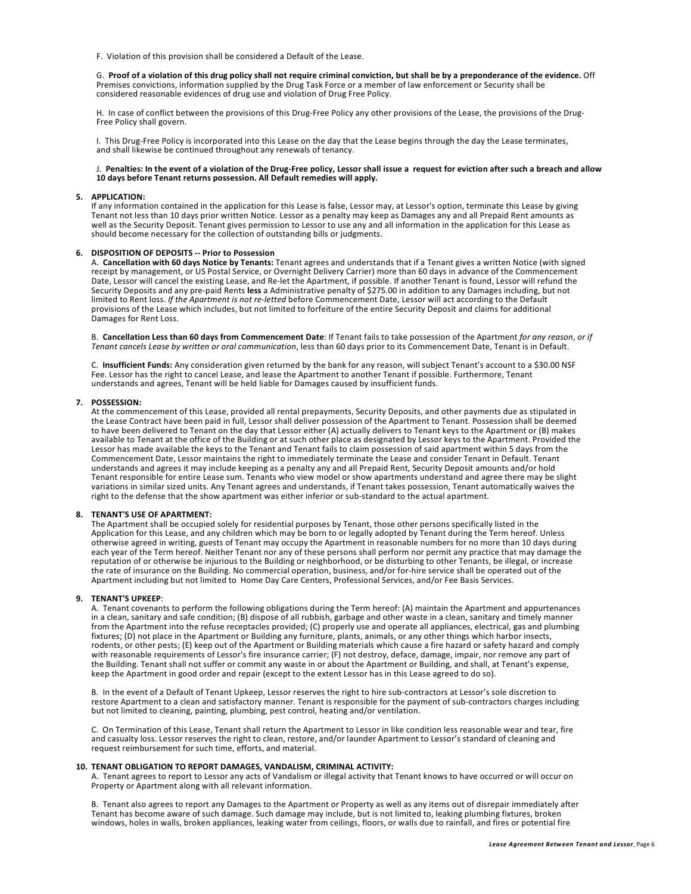F. Violation of this provision shall be considered a Default of the Lease.

G. **Proof of a violation of this drug policy shall not require criminal conviction, but shall be by a preponderance of the evidence.** Off Premises convictions, information supplied by the Drug Task Force or a member of law enforcement or Security shall be considered reasonable evidences of drug use and violation of Drug Free Policy.

H. In case of conflict between the provisions of this Drug-Free Policy any other provisions of the Lease, the provisions of the Drug-Free Policy shall govern.

I. This Drug-Free Policy is incorporated into this Lease on the day that the Lease begins through the day the Lease terminates, and shall likewise be continued throughout any renewals of tenancy.

### J. **Penalties: In the event of a violation of the Drug-Free policy, Lessor shall issue a request for eviction after such a breach and allow 10 days before Tenant returns possession. All Default remedies will apply.**

# **5. APPLICATION:**

If any information contained in the application for this Lease is false, Lessor may, at Lessor's option, terminate this Lease by giving Tenant not less than 10 days prior written Notice. Lessor as a penalty may keep as Damages any and all Prepaid Rent amounts as well as the Security Deposit. Tenant gives permission to Lessor to use any and all information in the application for this Lease as should become necessary for the collection of outstanding bills or judgments.

## **6. DISPOSITION OF DEPOSITS -- Prior to Possession**

A. **Cancellation with 60 days Notice by Tenants:** Tenant agrees and understands that if a Tenant gives a written Notice (with signed receipt by management, or US Postal Service, or Overnight Delivery Carrier) more than 60 days in advance of the Commencement Date, Lessor will cancel the existing Lease, and Re-let the Apartment, if possible. If another Tenant is found, Lessor will refund the Security Deposits and any pre-paid Rents **less** a Administrative penalty of \$275.00 in addition to any Damages including, but not limited to Rent loss. *If the Apartment is not re-letted* before Commencement Date, Lessor will act according to the Default provisions of the Lease which includes, but not limited to forfeiture of the entire Security Deposit and claims for additional Damages for Rent Loss.

B. **Cancellation Less than 60 days from Commencement Date**: If Tenant fails to take possession of the Apartment *for any reason*, *or if Tenant cancels Lease by written or oral communication*, less than 60 days prior to its Commencement Date, Tenant is in Default.

C. **Insufficient Funds:** Any consideration given returned by the bank for any reason, will subject Tenant's account to a \$30.00 NSF Fee. Lessor has the right to cancel Lease, and lease the Apartment to another Tenant if possible. Furthermore, Tenant understands and agrees, Tenant will be held liable for Damages caused by insufficient funds.

#### **7. POSSESSION:**

At the commencement of this Lease, provided all rental prepayments, Security Deposits, and other payments due as stipulated in the Lease Contract have been paid in full, Lessor shall deliver possession of the Apartment to Tenant. Possession shall be deemed to have been delivered to Tenant on the day that Lessor either (A) actually delivers to Tenant keys to the Apartment or (B) makes available to Tenant at the office of the Building or at such other place as designated by Lessor keys to the Apartment. Provided the Lessor has made available the keys to the Tenant and Tenant fails to claim possession of said apartment within 5 days from the Commencement Date, Lessor maintains the right to immediately terminate the Lease and consider Tenant in Default. Tenant understands and agrees it may include keeping as a penalty any and all Prepaid Rent, Security Deposit amounts and/or hold Tenant responsible for entire Lease sum. Tenants who view model or show apartments understand and agree there may be slight variations in similar sized units. Any Tenant agrees and understands, if Tenant takes possession, Tenant automatically waives the right to the defense that the show apartment was either inferior or sub-standard to the actual apartment.

### **8. TENANT'S USE OF APARTMENT:**

The Apartment shall be occupied solely for residential purposes by Tenant, those other persons specifically listed in the Application for this Lease, and any children which may be born to or legally adopted by Tenant during the Term hereof. Unless otherwise agreed in writing, guests of Tenant may occupy the Apartment in reasonable numbers for no more than 10 days during each year of the Term hereof. Neither Tenant nor any of these persons shall perform nor permit any practice that may damage the reputation of or otherwise be injurious to the Building or neighborhood, or be disturbing to other Tenants, be illegal, or increase the rate of insurance on the Building. No commercial operation, business, and/or for-hire service shall be operated out of the Apartment including but not limited to Home Day Care Centers, Professional Services, and/or Fee Basis Services.

# **9. TENANT'S UPKEEP**:

A. Tenant covenants to perform the following obligations during the Term hereof: (A) maintain the Apartment and appurtenances in a clean, sanitary and safe condition; (B) dispose of all rubbish, garbage and other waste in a clean, sanitary and timely manner from the Apartment into the refuse receptacles provided; (C) properly use and operate all appliances, electrical, gas and plumbing fixtures; (D) not place in the Apartment or Building any furniture, plants, animals, or any other things which harbor insects, rodents, or other pests; (E) keep out of the Apartment or Building materials which cause a fire hazard or safety hazard and comply with reasonable requirements of Lessor's fire insurance carrier; (F) not destroy, deface, damage, impair, nor remove any part of the Building. Tenant shall not suffer or commit any waste in or about the Apartment or Building, and shall, at Tenant's expense, keep the Apartment in good order and repair (except to the extent Lessor has in this Lease agreed to do so).

B. In the event of a Default of Tenant Upkeep, Lessor reserves the right to hire sub-contractors at Lessor's sole discretion to restore Apartment to a clean and satisfactory manner. Tenant is responsible for the payment of sub-contractors charges including but not limited to cleaning, painting, plumbing, pest control, heating and/or ventilation.

C. On Termination of this Lease, Tenant shall return the Apartment to Lessor in like condition less reasonable wear and tear, fire and casualty loss. Lessor reserves the right to clean, restore, and/or launder Apartment to Lessor's standard of cleaning and request reimbursement for such time, efforts, and material.

# **10. TENANT OBLIGATION TO REPORT DAMAGES, VANDALISM, CRIMINAL ACTIVITY:**

A. Tenant agrees to report to Lessor any acts of Vandalism or illegal activity that Tenant knows to have occurred or will occur on Property or Apartment along with all relevant information.

B. Tenant also agrees to report any Damages to the Apartment or Property as well as any items out of disrepair immediately after Tenant has become aware of such damage. Such damage may include, but is not limited to, leaking plumbing fixtures, broken windows, holes in walls, broken appliances, leaking water from ceilings, floors, or walls due to rainfall, and fires or potential fire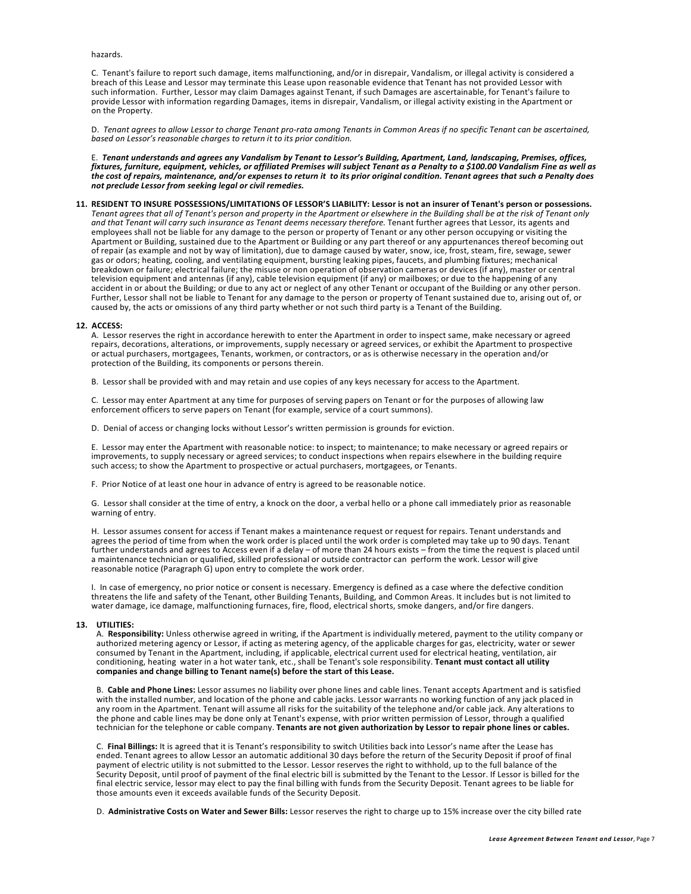# hazards.

C. Tenant's failure to report such damage, items malfunctioning, and/or in disrepair, Vandalism, or illegal activity is considered a breach of this Lease and Lessor may terminate this Lease upon reasonable evidence that Tenant has not provided Lessor with such information. Further, Lessor may claim Damages against Tenant, if such Damages are ascertainable, for Tenant's failure to provide Lessor with information regarding Damages, items in disrepair, Vandalism, or illegal activity existing in the Apartment or on the Property.

D. *Tenant agrees to allow Lessor to charge Tenant pro-rata among Tenants in Common Areas if no specific Tenant can be ascertained, based on Lessor's reasonable charges to return it to its prior condition.*

E. *Tenant understands and agrees any Vandalism by Tenant to Lessor's Building, Apartment, Land, landscaping, Premises, offices, fixtures, furniture, equipment, vehicles, or affiliated Premises will subject Tenant as a Penalty to a \$100.00 Vandalism Fine as well as the cost of repairs, maintenance, and/or expenses to return it to its prior original condition. Tenant agrees that such a Penalty does not preclude Lessor from seeking legal or civil remedies.*

**11. RESIDENT TO INSURE POSSESSIONS/LIMITATIONS OF LESSOR'S LIABILITY: Lessor is not an insurer of Tenant's person or possessions.** *Tenant agrees that all of Tenant's person and property in the Apartment or elsewhere in the Building shall be at the risk of Tenant only and that Tenant will carry such insurance as Tenant deems necessary therefore.* Tenant further agrees that Lessor, its agents and employees shall not be liable for any damage to the person or property of Tenant or any other person occupying or visiting the Apartment or Building, sustained due to the Apartment or Building or any part thereof or any appurtenances thereof becoming out of repair (as example and not by way of limitation), due to damage caused by water, snow, ice, frost, steam, fire, sewage, sewer gas or odors; heating, cooling, and ventilating equipment, bursting leaking pipes, faucets, and plumbing fixtures; mechanical breakdown or failure; electrical failure; the misuse or non operation of observation cameras or devices (if any), master or central television equipment and antennas (if any), cable television equipment (if any) or mailboxes; or due to the happening of any accident in or about the Building; or due to any act or neglect of any other Tenant or occupant of the Building or any other person. Further, Lessor shall not be liable to Tenant for any damage to the person or property of Tenant sustained due to, arising out of, or caused by, the acts or omissions of any third party whether or not such third party is a Tenant of the Building.

### **12. ACCESS:**

A. Lessor reserves the right in accordance herewith to enter the Apartment in order to inspect same, make necessary or agreed repairs, decorations, alterations, or improvements, supply necessary or agreed services, or exhibit the Apartment to prospective or actual purchasers, mortgagees, Tenants, workmen, or contractors, or as is otherwise necessary in the operation and/or protection of the Building, its components or persons therein.

B. Lessor shall be provided with and may retain and use copies of any keys necessary for access to the Apartment.

C. Lessor may enter Apartment at any time for purposes of serving papers on Tenant or for the purposes of allowing law enforcement officers to serve papers on Tenant (for example, service of a court summons).

D. Denial of access or changing locks without Lessor's written permission is grounds for eviction.

E. Lessor may enter the Apartment with reasonable notice: to inspect; to maintenance; to make necessary or agreed repairs or improvements, to supply necessary or agreed services; to conduct inspections when repairs elsewhere in the building require such access; to show the Apartment to prospective or actual purchasers, mortgagees, or Tenants.

F. Prior Notice of at least one hour in advance of entry is agreed to be reasonable notice.

G. Lessor shall consider at the time of entry, a knock on the door, a verbal hello or a phone call immediately prior as reasonable warning of entry.

H. Lessor assumes consent for access if Tenant makes a maintenance request or request for repairs. Tenant understands and agrees the period of time from when the work order is placed until the work order is completed may take up to 90 days. Tenant further understands and agrees to Access even if a delay – of more than 24 hours exists – from the time the request is placed until a maintenance technician or qualified, skilled professional or outside contractor can perform the work. Lessor will give reasonable notice (Paragraph G) upon entry to complete the work order.

I. In case of emergency, no prior notice or consent is necessary. Emergency is defined as a case where the defective condition threatens the life and safety of the Tenant, other Building Tenants, Building, and Common Areas. It includes but is not limited to water damage, ice damage, malfunctioning furnaces, fire, flood, electrical shorts, smoke dangers, and/or fire dangers.

#### **13. UTILITIES:**

A. **Responsibility:** Unless otherwise agreed in writing, if the Apartment is individually metered, payment to the utility company or authorized metering agency or Lessor, if acting as metering agency, of the applicable charges for gas, electricity, water or sewer consumed by Tenant in the Apartment, including, if applicable, electrical current used for electrical heating, ventilation, air conditioning, heating water in a hot water tank, etc., shall be Tenant's sole responsibility. **Tenant must contact all utility companies and change billing to Tenant name(s) before the start of this Lease.**

B. **Cable and Phone Lines:** Lessor assumes no liability over phone lines and cable lines. Tenant accepts Apartment and is satisfied with the installed number, and location of the phone and cable jacks. Lessor warrants no working function of any jack placed in any room in the Apartment. Tenant will assume all risks for the suitability of the telephone and/or cable jack. Any alterations to the phone and cable lines may be done only at Tenant's expense, with prior written permission of Lessor, through a qualified technician for the telephone or cable company. **Tenants are not given authorization by Lessor to repair phone lines or cables.**

C. **Final Billings:** It is agreed that it is Tenant's responsibility to switch Utilities back into Lessor's name after the Lease has ended. Tenant agrees to allow Lessor an automatic additional 30 days before the return of the Security Deposit if proof of final payment of electric utility is not submitted to the Lessor. Lessor reserves the right to withhold, up to the full balance of the Security Deposit, until proof of payment of the final electric bill is submitted by the Tenant to the Lessor. If Lessor is billed for the final electric service, lessor may elect to pay the final billing with funds from the Security Deposit. Tenant agrees to be liable for those amounts even it exceeds available funds of the Security Deposit.

D. **Administrative Costs on Water and Sewer Bills:** Lessor reserves the right to charge up to 15% increase over the city billed rate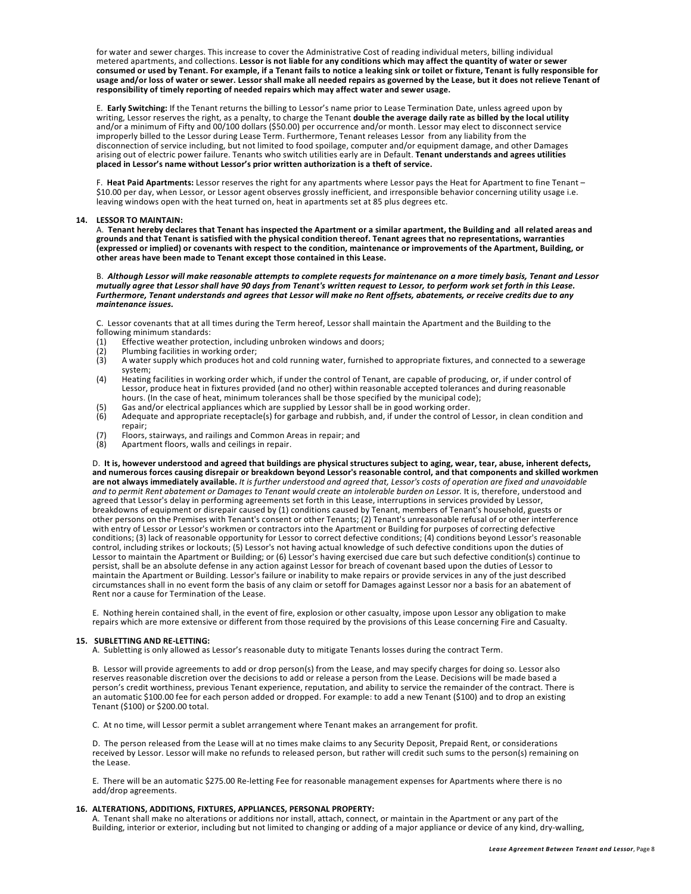for water and sewer charges. This increase to cover the Administrative Cost of reading individual meters, billing individual metered apartments, and collections. **Lessor is not liable for any conditions which may affect the quantity of water or sewer consumed or used by Tenant. For example, if a Tenant fails to notice a leaking sink or toilet or fixture, Tenant is fully responsible for usage and/or loss of water or sewer. Lessor shall make all needed repairs as governed by the Lease, but it does not relieve Tenant of responsibility of timely reporting of needed repairs which may affect water and sewer usage.**

E. **Early Switching:** If the Tenant returns the billing to Lessor's name prior to Lease Termination Date, unless agreed upon by writing, Lessor reserves the right, as a penalty, to charge the Tenant **double the average daily rate as billed by the local utility** and/or a minimum of Fifty and 00/100 dollars (\$50.00) per occurrence and/or month. Lessor may elect to disconnect service improperly billed to the Lessor during Lease Term. Furthermore, Tenant releases Lessor from any liability from the disconnection of service including, but not limited to food spoilage, computer and/or equipment damage, and other Damages arising out of electric power failure. Tenants who switch utilities early are in Default. **Tenant understands and agrees utilities placed in Lessor's name without Lessor's prior written authorization is a theft of service.**

F. **Heat Paid Apartments:** Lessor reserves the right for any apartments where Lessor pays the Heat for Apartment to fine Tenant – \$10.00 per day, when Lessor, or Lessor agent observes grossly inefficient, and irresponsible behavior concerning utility usage i.e. leaving windows open with the heat turned on, heat in apartments set at 85 plus degrees etc.

#### **14. LESSOR TO MAINTAIN:**

A. **Tenant hereby declares that Tenant has inspected the Apartment or a similar apartment, the Building and all related areas and grounds and that Tenant is satisfied with the physical condition thereof. Tenant agrees that no representations, warranties (expressed or implied) or covenants with respect to the condition, maintenance or improvements of the Apartment, Building, or other areas have been made to Tenant except those contained in this Lease.**

B. *Although Lessor will make reasonable attempts to complete requests for maintenance on a more timely basis, Tenant and Lessor mutually agree that Lessor shall have 90 days from Tenant's written request to Lessor, to perform work set forth in this Lease. Furthermore, Tenant understands and agrees that Lessor will make no Rent offsets, abatements, or receive credits due to any maintenance issues.* 

C. Lessor covenants that at all times during the Term hereof, Lessor shall maintain the Apartment and the Building to the following minimum standards:

- (1) Effective weather protection, including unbroken windows and doors;
- 
- (2) Plumbing facilities in working order;<br>(3) A water supply which produces hot a A water supply which produces hot and cold running water, furnished to appropriate fixtures, and connected to a sewerage system;
- (4) Heating facilities in working order which, if under the control of Tenant, are capable of producing, or, if under control of Lessor, produce heat in fixtures provided (and no other) within reasonable accepted tolerances and during reasonable hours. (In the case of heat, minimum tolerances shall be those specified by the municipal code);
- (5) Gas and/or electrical appliances which are supplied by Lessor shall be in good working order.<br>(6) Adequate and appropriate receptacle(s) for garbage and rubbish, and, if under the control of
- Adequate and appropriate receptacle(s) for garbage and rubbish, and, if under the control of Lessor, in clean condition and repair;
- (7) Floors, stairways, and railings and Common Areas in repair; and
- Apartment floors, walls and ceilings in repair.

D. **It is, however understood and agreed that buildings are physical structures subject to aging, wear, tear, abuse, inherent defects, and numerous forces causing disrepair or breakdown beyond Lessor's reasonable control, and that components and skilled workmen are not always immediately available.** *It is further understood and agreed that, Lessor's costs of operation are fixed and unavoidable and to permit Rent abatement or Damages to Tenant would create an intolerable burden on Lessor.* It is, therefore, understood and agreed that Lessor's delay in performing agreements set forth in this Lease, interruptions in services provided by Lessor, breakdowns of equipment or disrepair caused by (1) conditions caused by Tenant, members of Tenant's household, guests or other persons on the Premises with Tenant's consent or other Tenants; (2) Tenant's unreasonable refusal of or other interference with entry of Lessor or Lessor's workmen or contractors into the Apartment or Building for purposes of correcting defective conditions; (3) lack of reasonable opportunity for Lessor to correct defective conditions; (4) conditions beyond Lessor's reasonable control, including strikes or lockouts; (5) Lessor's not having actual knowledge of such defective conditions upon the duties of Lessor to maintain the Apartment or Building; or (6) Lessor's having exercised due care but such defective condition(s) continue to persist, shall be an absolute defense in any action against Lessor for breach of covenant based upon the duties of Lessor to maintain the Apartment or Building. Lessor's failure or inability to make repairs or provide services in any of the just described circumstances shall in no event form the basis of any claim or setoff for Damages against Lessor nor a basis for an abatement of Rent nor a cause for Termination of the Lease.

E. Nothing herein contained shall, in the event of fire, explosion or other casualty, impose upon Lessor any obligation to make repairs which are more extensive or different from those required by the provisions of this Lease concerning Fire and Casualty.

### **15. SUBLETTING AND RE-LETTING:**

A. Subletting is only allowed as Lessor's reasonable duty to mitigate Tenants losses during the contract Term.

B. Lessor will provide agreements to add or drop person(s) from the Lease, and may specify charges for doing so. Lessor also reserves reasonable discretion over the decisions to add or release a person from the Lease. Decisions will be made based a person's credit worthiness, previous Tenant experience, reputation, and ability to service the remainder of the contract. There is an automatic \$100.00 fee for each person added or dropped. For example: to add a new Tenant (\$100) and to drop an existing Tenant (\$100) or \$200.00 total.

C. At no time, will Lessor permit a sublet arrangement where Tenant makes an arrangement for profit.

D. The person released from the Lease will at no times make claims to any Security Deposit, Prepaid Rent, or considerations received by Lessor. Lessor will make no refunds to released person, but rather will credit such sums to the person(s) remaining on the Lease.

E. There will be an automatic \$275.00 Re-letting Fee for reasonable management expenses for Apartments where there is no add/drop agreements.

### **16. ALTERATIONS, ADDITIONS, FIXTURES, APPLIANCES, PERSONAL PROPERTY:**

A. Tenant shall make no alterations or additions nor install, attach, connect, or maintain in the Apartment or any part of the Building, interior or exterior, including but not limited to changing or adding of a major appliance or device of any kind, dry-walling,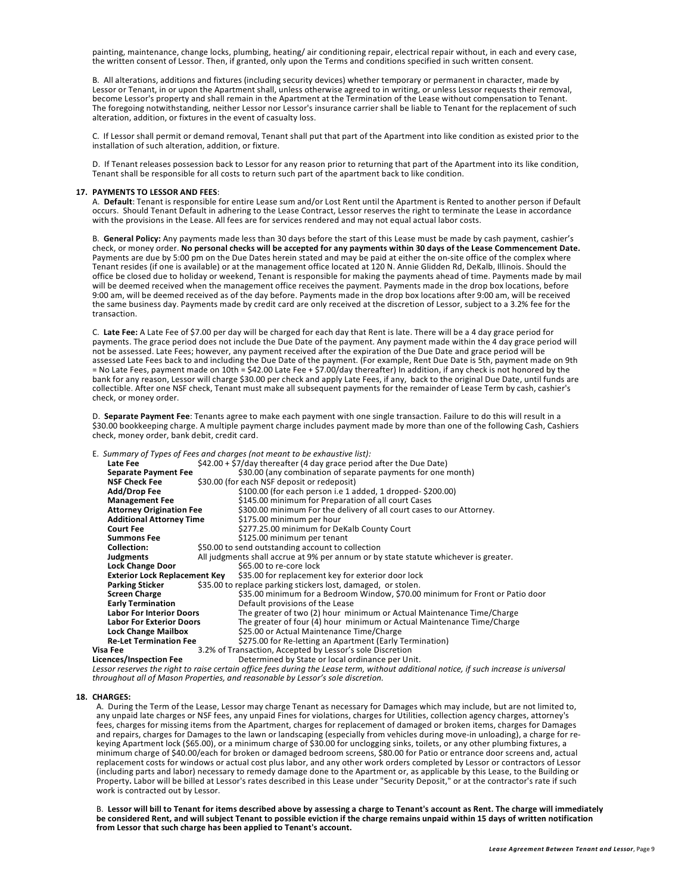painting, maintenance, change locks, plumbing, heating/ air conditioning repair, electrical repair without, in each and every case, the written consent of Lessor. Then, if granted, only upon the Terms and conditions specified in such written consent.

B. All alterations, additions and fixtures (including security devices) whether temporary or permanent in character, made by Lessor or Tenant, in or upon the Apartment shall, unless otherwise agreed to in writing, or unless Lessor requests their removal, become Lessor's property and shall remain in the Apartment at the Termination of the Lease without compensation to Tenant. The foregoing notwithstanding, neither Lessor nor Lessor's insurance carrier shall be liable to Tenant for the replacement of such alteration, addition, or fixtures in the event of casualty loss.

C. If Lessor shall permit or demand removal, Tenant shall put that part of the Apartment into like condition as existed prior to the installation of such alteration, addition, or fixture.

D. If Tenant releases possession back to Lessor for any reason prior to returning that part of the Apartment into its like condition, Tenant shall be responsible for all costs to return such part of the apartment back to like condition.

### **17. PAYMENTS TO LESSOR AND FEES**:

A. **Default**: Tenant is responsible for entire Lease sum and/or Lost Rent until the Apartment is Rented to another person if Default occurs. Should Tenant Default in adhering to the Lease Contract, Lessor reserves the right to terminate the Lease in accordance with the provisions in the Lease. All fees are for services rendered and may not equal actual labor costs.

B. **General Policy:** Any payments made less than 30 days before the start of this Lease must be made by cash payment, cashier's check, or money order. **No personal checks will be accepted for any payments within 30 days of the Lease Commencement Date.** Payments are due by 5:00 pm on the Due Dates herein stated and may be paid at either the on-site office of the complex where Tenant resides (if one is available) or at the management office located at 120 N. Annie Glidden Rd, DeKalb, Illinois. Should the office be closed due to holiday or weekend, Tenant is responsible for making the payments ahead of time. Payments made by mail will be deemed received when the management office receives the payment. Payments made in the drop box locations, before 9:00 am, will be deemed received as of the day before. Payments made in the drop box locations after 9:00 am, will be received the same business day. Payments made by credit card are only received at the discretion of Lessor, subject to a 3.2% fee for the transaction.

C. **Late Fee:** A Late Fee of \$7.00 per day will be charged for each day that Rent is late. There will be a 4 day grace period for payments. The grace period does not include the Due Date of the payment. Any payment made within the 4 day grace period will not be assessed. Late Fees; however, any payment received after the expiration of the Due Date and grace period will be assessed Late Fees back to and including the Due Date of the payment. (For example, Rent Due Date is 5th, payment made on 9th = No Late Fees, payment made on 10th = \$42.00 Late Fee + \$7.00/day thereafter) In addition, if any check is not honored by the bank for any reason, Lessor will charge \$30.00 per check and apply Late Fees, if any, back to the original Due Date, until funds are collectible. After one NSF check, Tenant must make all subsequent payments for the remainder of Lease Term by cash, cashier's check, or money order.

D. **Separate Payment Fee**: Tenants agree to make each payment with one single transaction. Failure to do this will result in a \$30.00 bookkeeping charge. A multiple payment charge includes payment made by more than one of the following Cash, Cashiers check, money order, bank debit, credit card.

### E. *Summary of Types of Fees and charges (not meant to be exhaustive list):*

| Late Fee                             | \$42.00 + \$7/day thereafter (4 day grace period after the Due Date)                 |
|--------------------------------------|--------------------------------------------------------------------------------------|
| <b>Separate Payment Fee</b>          | \$30.00 (any combination of separate payments for one month)                         |
| <b>NSF Check Fee</b>                 | \$30.00 (for each NSF deposit or redeposit)                                          |
| <b>Add/Drop Fee</b>                  | \$100.00 (for each person i.e 1 added, 1 dropped-\$200.00)                           |
| <b>Management Fee</b>                | \$145.00 minimum for Preparation of all court Cases                                  |
| <b>Attorney Origination Fee</b>      | \$300.00 minimum For the delivery of all court cases to our Attorney.                |
| <b>Additional Attorney Time</b>      | \$175.00 minimum per hour                                                            |
| <b>Court Fee</b>                     | \$277.25.00 minimum for DeKalb County Court                                          |
| <b>Summons Fee</b>                   | \$125.00 minimum per tenant                                                          |
| <b>Collection:</b>                   | \$50.00 to send outstanding account to collection                                    |
| Judgments                            | All judgments shall accrue at 9% per annum or by state statute whichever is greater. |
| <b>Lock Change Door</b>              | \$65.00 to re-core lock                                                              |
| <b>Exterior Lock Replacement Key</b> | \$35.00 for replacement key for exterior door lock                                   |
| Parking Sticker                      | \$35.00 to replace parking stickers lost, damaged, or stolen.                        |
| <b>Screen Charge</b>                 | \$35.00 minimum for a Bedroom Window, \$70.00 minimum for Front or Patio door        |
| <b>Early Termination</b>             | Default provisions of the Lease                                                      |
| <b>Labor For Interior Doors</b>      | The greater of two (2) hour minimum or Actual Maintenance Time/Charge                |
| <b>Labor For Exterior Doors</b>      | The greater of four (4) hour minimum or Actual Maintenance Time/Charge               |
| <b>Lock Change Mailbox</b>           | \$25.00 or Actual Maintenance Time/Charge                                            |
| <b>Re-Let Termination Fee</b>        | \$275.00 for Re-letting an Apartment (Early Termination)                             |
| Visa Fee                             | 3.2% of Transaction, Accepted by Lessor's sole Discretion                            |
| Licences/Inspection Fee              | Determined by State or local ordinance per Unit.                                     |

*Lessor reserves the right to raise certain office fees during the Lease term, without additional notice, if such increase is universal throughout all of Mason Properties, and reasonable by Lessor's sole discretion.*

#### **18. CHARGES:**

A. During the Term of the Lease, Lessor may charge Tenant as necessary for Damages which may include, but are not limited to, any unpaid late charges or NSF fees, any unpaid Fines for violations, charges for Utilities, collection agency charges, attorney's fees, charges for missing items from the Apartment, charges for replacement of damaged or broken items, charges for Damages and repairs, charges for Damages to the lawn or landscaping (especially from vehicles during move-in unloading), a charge for rekeying Apartment lock (\$65.00), or a minimum charge of \$30.00 for unclogging sinks, toilets, or any other plumbing fixtures, a minimum charge of \$40.00/each for broken or damaged bedroom screens, \$80.00 for Patio or entrance door screens and, actual replacement costs for windows or actual cost plus labor, and any other work orders completed by Lessor or contractors of Lessor (including parts and labor) necessary to remedy damage done to the Apartment or, as applicable by this Lease, to the Building or Property**.** Labor will be billed at Lessor's rates described in this Lease under "Security Deposit," or at the contractor's rate if such work is contracted out by Lessor.

B. **Lessor will bill to Tenant for items described above by assessing a charge to Tenant's account as Rent. The charge will immediately be considered Rent, and will subject Tenant to possible eviction if the charge remains unpaid within 15 days of written notification from Lessor that such charge has been applied to Tenant's account.**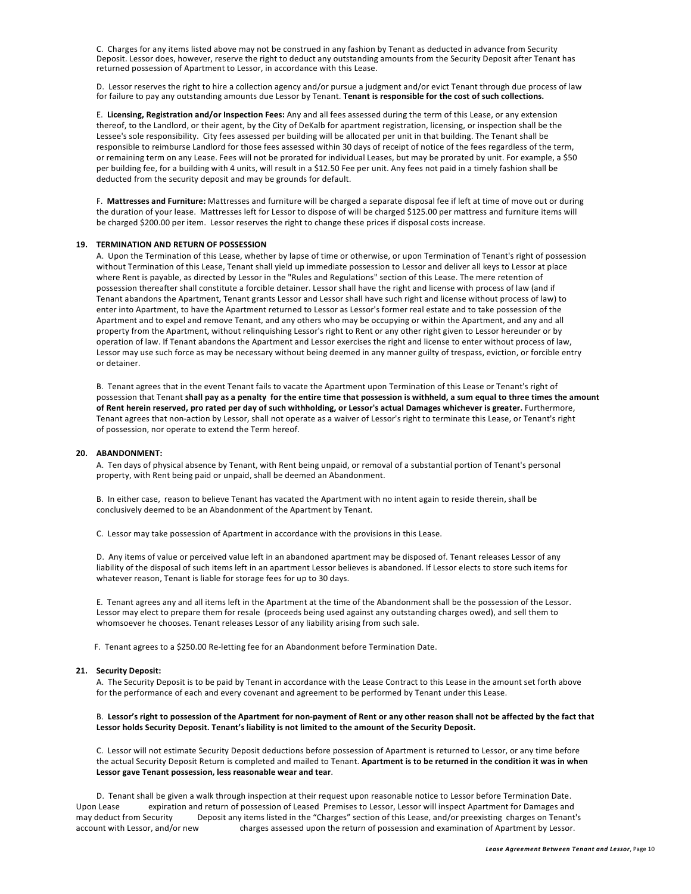C. Charges for any items listed above may not be construed in any fashion by Tenant as deducted in advance from Security Deposit. Lessor does, however, reserve the right to deduct any outstanding amounts from the Security Deposit after Tenant has returned possession of Apartment to Lessor, in accordance with this Lease.

D. Lessor reserves the right to hire a collection agency and/or pursue a judgment and/or evict Tenant through due process of law for failure to pay any outstanding amounts due Lessor by Tenant. **Tenant is responsible for the cost of such collections.**

E. **Licensing, Registration and/or Inspection Fees:** Any and all fees assessed during the term of this Lease, or any extension thereof, to the Landlord, or their agent, by the City of DeKalb for apartment registration, licensing, or inspection shall be the Lessee's sole responsibility. City fees assessed per building will be allocated per unit in that building. The Tenant shall be responsible to reimburse Landlord for those fees assessed within 30 days of receipt of notice of the fees regardless of the term, or remaining term on any Lease. Fees will not be prorated for individual Leases, but may be prorated by unit. For example, a \$50 per building fee, for a building with 4 units, will result in a \$12.50 Fee per unit. Any fees not paid in a timely fashion shall be deducted from the security deposit and may be grounds for default.

F. **Mattresses and Furniture:** Mattresses and furniture will be charged a separate disposal fee if left at time of move out or during the duration of your lease. Mattresses left for Lessor to dispose of will be charged \$125.00 per mattress and furniture items will be charged \$200.00 per item. Lessor reserves the right to change these prices if disposal costs increase.

# **19. TERMINATION AND RETURN OF POSSESSION**

A. Upon the Termination of this Lease, whether by lapse of time or otherwise, or upon Termination of Tenant's right of possession without Termination of this Lease, Tenant shall yield up immediate possession to Lessor and deliver all keys to Lessor at place where Rent is payable, as directed by Lessor in the "Rules and Regulations" section of this Lease. The mere retention of possession thereafter shall constitute a forcible detainer. Lessor shall have the right and license with process of law (and if Tenant abandons the Apartment, Tenant grants Lessor and Lessor shall have such right and license without process of law) to enter into Apartment, to have the Apartment returned to Lessor as Lessor's former real estate and to take possession of the Apartment and to expel and remove Tenant, and any others who may be occupying or within the Apartment, and any and all property from the Apartment, without relinquishing Lessor's right to Rent or any other right given to Lessor hereunder or by operation of law. If Tenant abandons the Apartment and Lessor exercises the right and license to enter without process of law, Lessor may use such force as may be necessary without being deemed in any manner guilty of trespass, eviction, or forcible entry or detainer.

B. Tenant agrees that in the event Tenant fails to vacate the Apartment upon Termination of this Lease or Tenant's right of possession that Tenant **shall pay as a penalty for the entire time that possession is withheld, a sum equal to three times the amount of Rent herein reserved, pro rated per day of such withholding, or Lessor's actual Damages whichever is greater.** Furthermore, Tenant agrees that non-action by Lessor, shall not operate as a waiver of Lessor's right to terminate this Lease, or Tenant's right of possession, nor operate to extend the Term hereof.

### **20. ABANDONMENT:**

A. Ten days of physical absence by Tenant, with Rent being unpaid, or removal of a substantial portion of Tenant's personal property, with Rent being paid or unpaid, shall be deemed an Abandonment.

B. In either case, reason to believe Tenant has vacated the Apartment with no intent again to reside therein, shall be conclusively deemed to be an Abandonment of the Apartment by Tenant.

C. Lessor may take possession of Apartment in accordance with the provisions in this Lease.

D. Any items of value or perceived value left in an abandoned apartment may be disposed of. Tenant releases Lessor of any liability of the disposal of such items left in an apartment Lessor believes is abandoned. If Lessor elects to store such items for whatever reason, Tenant is liable for storage fees for up to 30 days.

E. Tenant agrees any and all items left in the Apartment at the time of the Abandonment shall be the possession of the Lessor. Lessor may elect to prepare them for resale (proceeds being used against any outstanding charges owed), and sell them to whomsoever he chooses. Tenant releases Lessor of any liability arising from such sale.

F. Tenant agrees to a \$250.00 Re-letting fee for an Abandonment before Termination Date.

# **21. Security Deposit:**

A. The Security Deposit is to be paid by Tenant in accordance with the Lease Contract to this Lease in the amount set forth above for the performance of each and every covenant and agreement to be performed by Tenant under this Lease.

# B. **Lessor's right to possession of the Apartment for non-payment of Rent or any other reason shall not be affected by the fact that Lessor holds Security Deposit. Tenant's liability is not limited to the amount of the Security Deposit.**

C. Lessor will not estimate Security Deposit deductions before possession of Apartment is returned to Lessor, or any time before the actual Security Deposit Return is completed and mailed to Tenant. **Apartment is to be returned in the condition it was in when Lessor gave Tenant possession, less reasonable wear and tear**.

 D. Tenant shall be given a walk through inspection at their request upon reasonable notice to Lessor before Termination Date. Upon Lease expiration and return of possession of Leased Premises to Lessor, Lessor will inspect Apartment for Damages and may deduct from Security Deposit any items listed in the "Charges" section of this Lease, and/or preexisting charges on Tenant's account with Lessor, and/or new charges assessed upon the return of possession and examination of Apartment by Lessor.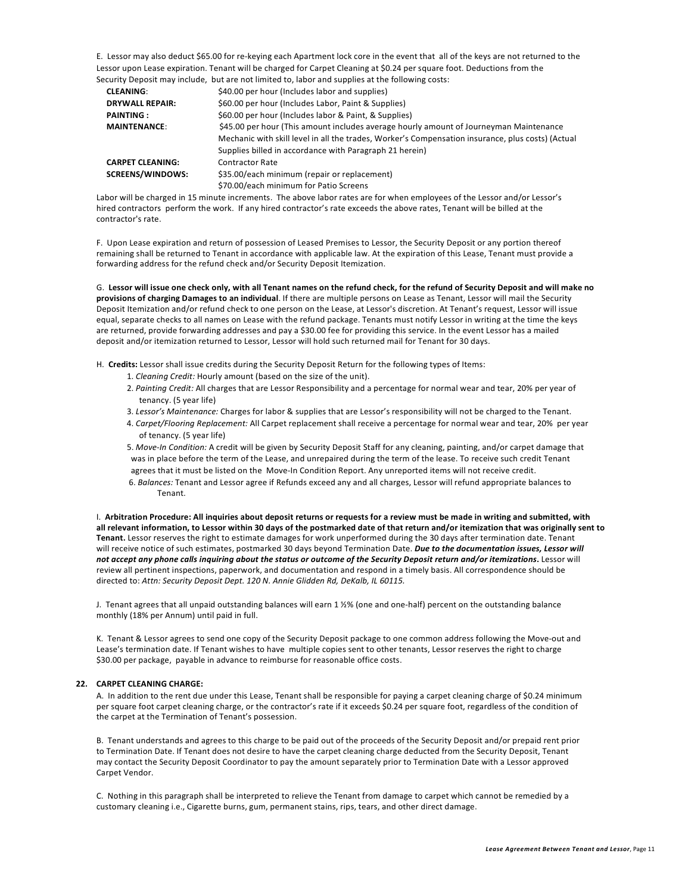E. Lessor may also deduct \$65.00 for re-keying each Apartment lock core in the event that all of the keys are not returned to the Lessor upon Lease expiration. Tenant will be charged for Carpet Cleaning at \$0.24 per square foot. Deductions from the Security Deposit may include, but are not limited to, labor and supplies at the following costs:

| <b>CLEANING:</b>        | \$40.00 per hour (Includes labor and supplies)                                                    |
|-------------------------|---------------------------------------------------------------------------------------------------|
| <b>DRYWALL REPAIR:</b>  | \$60.00 per hour (Includes Labor, Paint & Supplies)                                               |
| <b>PAINTING:</b>        | \$60.00 per hour (Includes labor & Paint, & Supplies)                                             |
| <b>MAINTENANCE:</b>     | \$45.00 per hour (This amount includes average hourly amount of Journeyman Maintenance            |
|                         | Mechanic with skill level in all the trades, Worker's Compensation insurance, plus costs) (Actual |
|                         | Supplies billed in accordance with Paragraph 21 herein)                                           |
| <b>CARPET CLEANING:</b> | Contractor Rate                                                                                   |
| <b>SCREENS/WINDOWS:</b> | \$35.00/each minimum (repair or replacement)                                                      |
|                         | \$70.00/each minimum for Patio Screens                                                            |

Labor will be charged in 15 minute increments. The above labor rates are for when employees of the Lessor and/or Lessor's hired contractors perform the work. If any hired contractor's rate exceeds the above rates, Tenant will be billed at the contractor's rate.

F. Upon Lease expiration and return of possession of Leased Premises to Lessor, the Security Deposit or any portion thereof remaining shall be returned to Tenant in accordance with applicable law. At the expiration of this Lease, Tenant must provide a forwarding address for the refund check and/or Security Deposit Itemization.

G. **Lessor will issue one check only, with all Tenant names on the refund check, for the refund of Security Deposit and will make no provisions of charging Damages to an individual**. If there are multiple persons on Lease as Tenant, Lessor will mail the Security Deposit Itemization and/or refund check to one person on the Lease, at Lessor's discretion. At Tenant's request, Lessor will issue equal, separate checks to all names on Lease with the refund package. Tenants must notify Lessor in writing at the time the keys are returned, provide forwarding addresses and pay a \$30.00 fee for providing this service. In the event Lessor has a mailed deposit and/or itemization returned to Lessor, Lessor will hold such returned mail for Tenant for 30 days.

H. **Credits:** Lessor shall issue credits during the Security Deposit Return for the following types of Items:

- 1. *Cleaning Credit:* Hourly amount (based on the size of the unit).
- 2. *Painting Credit:* All charges that are Lessor Responsibility and a percentage for normal wear and tear, 20% per year of tenancy. (5 year life)
- 3. *Lessor's Maintenance:* Charges for labor & supplies that are Lessor's responsibility will not be charged to the Tenant.
- 4. *Carpet/Flooring Replacement:* All Carpet replacement shall receive a percentage for normal wear and tear, 20% per year of tenancy. (5 year life)
- 5. *Move-In Condition:* A credit will be given by Security Deposit Staff for any cleaning, painting, and/or carpet damage that was in place before the term of the Lease, and unrepaired during the term of the lease. To receive such credit Tenant agrees that it must be listed on the Move-In Condition Report. Any unreported items will not receive credit. 6. *Balances:* Tenant and Lessor agree if Refunds exceed any and all charges, Lessor will refund appropriate balances to Tenant.

I. **Arbitration Procedure: All inquiries about deposit returns or requests for a review must be made in writing and submitted, with all relevant information, to Lessor within 30 days of the postmarked date of that return and/or itemization that was originally sent to Tenant.** Lessor reserves the right to estimate damages for work unperformed during the 30 days after termination date. Tenant will receive notice of such estimates, postmarked 30 days beyond Termination Date. *Due to the documentation issues, Lessor will not accept any phone calls inquiring about the status or outcome of the Security Deposit return and/or itemizations***.** Lessor will review all pertinent inspections, paperwork, and documentation and respond in a timely basis. All correspondence should be directed to: *Attn: Security Deposit Dept. 120 N. Annie Glidden Rd, DeKalb, IL 60115.*

J. Tenant agrees that all unpaid outstanding balances will earn 1 ½% (one and one-half) percent on the outstanding balance monthly (18% per Annum) until paid in full.

K. Tenant & Lessor agrees to send one copy of the Security Deposit package to one common address following the Move-out and Lease's termination date. If Tenant wishes to have multiple copies sent to other tenants, Lessor reserves the right to charge \$30.00 per package, payable in advance to reimburse for reasonable office costs.

# **22. CARPET CLEANING CHARGE:**

A. In addition to the rent due under this Lease, Tenant shall be responsible for paying a carpet cleaning charge of \$0.24 minimum per square foot carpet cleaning charge, or the contractor's rate if it exceeds \$0.24 per square foot, regardless of the condition of the carpet at the Termination of Tenant's possession.

B. Tenant understands and agrees to this charge to be paid out of the proceeds of the Security Deposit and/or prepaid rent prior to Termination Date. If Tenant does not desire to have the carpet cleaning charge deducted from the Security Deposit, Tenant may contact the Security Deposit Coordinator to pay the amount separately prior to Termination Date with a Lessor approved Carpet Vendor.

C. Nothing in this paragraph shall be interpreted to relieve the Tenant from damage to carpet which cannot be remedied by a customary cleaning i.e., Cigarette burns, gum, permanent stains, rips, tears, and other direct damage.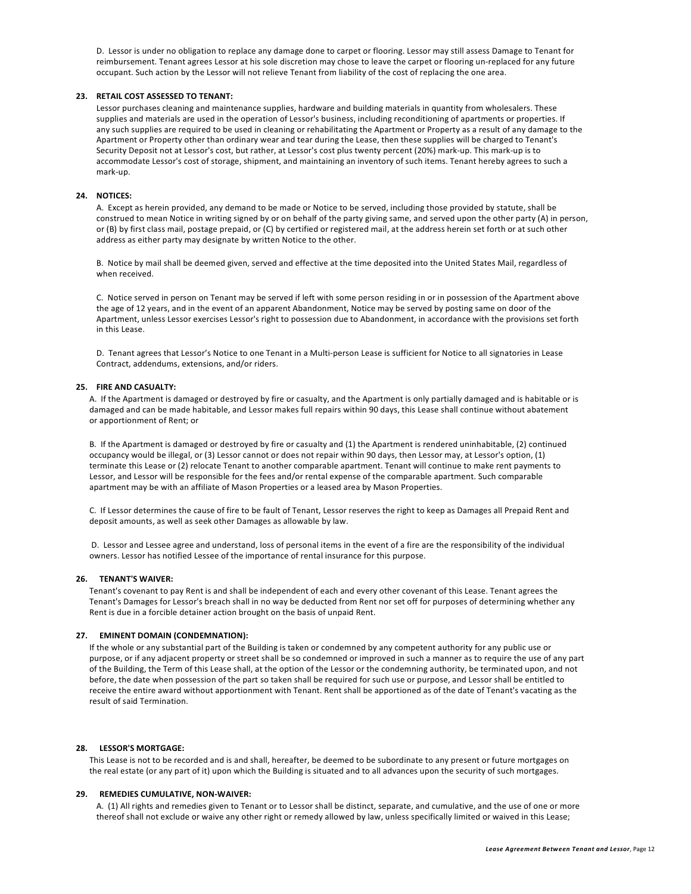D. Lessor is under no obligation to replace any damage done to carpet or flooring. Lessor may still assess Damage to Tenant for reimbursement. Tenant agrees Lessor at his sole discretion may chose to leave the carpet or flooring un-replaced for any future occupant. Such action by the Lessor will not relieve Tenant from liability of the cost of replacing the one area.

# **23. RETAIL COST ASSESSED TO TENANT:**

Lessor purchases cleaning and maintenance supplies, hardware and building materials in quantity from wholesalers. These supplies and materials are used in the operation of Lessor's business, including reconditioning of apartments or properties. If any such supplies are required to be used in cleaning or rehabilitating the Apartment or Property as a result of any damage to the Apartment or Property other than ordinary wear and tear during the Lease, then these supplies will be charged to Tenant's Security Deposit not at Lessor's cost, but rather, at Lessor's cost plus twenty percent (20%) mark-up. This mark-up is to accommodate Lessor's cost of storage, shipment, and maintaining an inventory of such items. Tenant hereby agrees to such a mark-up.

### **24. NOTICES:**

A. Except as herein provided, any demand to be made or Notice to be served, including those provided by statute, shall be construed to mean Notice in writing signed by or on behalf of the party giving same, and served upon the other party (A) in person, or (B) by first class mail, postage prepaid, or (C) by certified or registered mail, at the address herein set forth or at such other address as either party may designate by written Notice to the other.

B. Notice by mail shall be deemed given, served and effective at the time deposited into the United States Mail, regardless of when received.

C. Notice served in person on Tenant may be served if left with some person residing in or in possession of the Apartment above the age of 12 years, and in the event of an apparent Abandonment, Notice may be served by posting same on door of the Apartment, unless Lessor exercises Lessor's right to possession due to Abandonment, in accordance with the provisions set forth in this Lease.

D. Tenant agrees that Lessor's Notice to one Tenant in a Multi-person Lease is sufficient for Notice to all signatories in Lease Contract, addendums, extensions, and/or riders.

### **25. FIRE AND CASUALTY:**

A. If the Apartment is damaged or destroyed by fire or casualty, and the Apartment is only partially damaged and is habitable or is damaged and can be made habitable, and Lessor makes full repairs within 90 days, this Lease shall continue without abatement or apportionment of Rent; or

B. If the Apartment is damaged or destroyed by fire or casualty and (1) the Apartment is rendered uninhabitable, (2) continued occupancy would be illegal, or (3) Lessor cannot or does not repair within 90 days, then Lessor may, at Lessor's option, (1) terminate this Lease or (2) relocate Tenant to another comparable apartment. Tenant will continue to make rent payments to Lessor, and Lessor will be responsible for the fees and/or rental expense of the comparable apartment. Such comparable apartment may be with an affiliate of Mason Properties or a leased area by Mason Properties.

C. If Lessor determines the cause of fire to be fault of Tenant, Lessor reserves the right to keep as Damages all Prepaid Rent and deposit amounts, as well as seek other Damages as allowable by law.

 D. Lessor and Lessee agree and understand, loss of personal items in the event of a fire are the responsibility of the individual owners. Lessor has notified Lessee of the importance of rental insurance for this purpose.

# **26. TENANT'S WAIVER:**

Tenant's covenant to pay Rent is and shall be independent of each and every other covenant of this Lease. Tenant agrees the Tenant's Damages for Lessor's breach shall in no way be deducted from Rent nor set off for purposes of determining whether any Rent is due in a forcible detainer action brought on the basis of unpaid Rent.

### **27. EMINENT DOMAIN (CONDEMNATION):**

If the whole or any substantial part of the Building is taken or condemned by any competent authority for any public use or purpose, or if any adjacent property or street shall be so condemned or improved in such a manner as to require the use of any part of the Building, the Term of this Lease shall, at the option of the Lessor or the condemning authority, be terminated upon, and not before, the date when possession of the part so taken shall be required for such use or purpose, and Lessor shall be entitled to receive the entire award without apportionment with Tenant. Rent shall be apportioned as of the date of Tenant's vacating as the result of said Termination.

### **28. LESSOR'S MORTGAGE:**

This Lease is not to be recorded and is and shall, hereafter, be deemed to be subordinate to any present or future mortgages on the real estate (or any part of it) upon which the Building is situated and to all advances upon the security of such mortgages.

#### **29. REMEDIES CUMULATIVE, NON-WAIVER:**

A. (1) All rights and remedies given to Tenant or to Lessor shall be distinct, separate, and cumulative, and the use of one or more thereof shall not exclude or waive any other right or remedy allowed by law, unless specifically limited or waived in this Lease;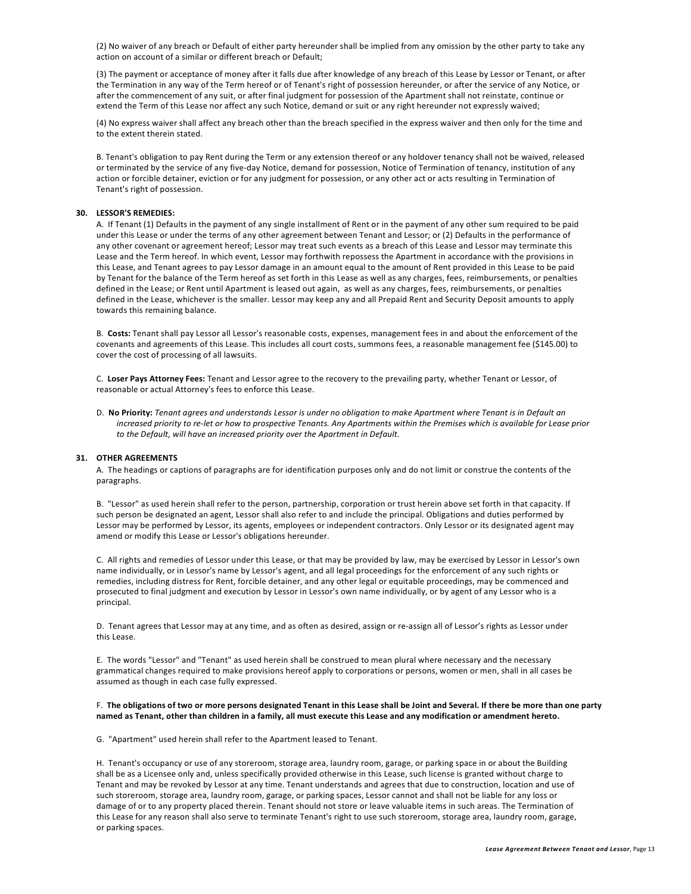(2) No waiver of any breach or Default of either party hereunder shall be implied from any omission by the other party to take any action on account of a similar or different breach or Default;

(3) The payment or acceptance of money after it falls due after knowledge of any breach of this Lease by Lessor or Tenant, or after the Termination in any way of the Term hereof or of Tenant's right of possession hereunder, or after the service of any Notice, or after the commencement of any suit, or after final judgment for possession of the Apartment shall not reinstate, continue or extend the Term of this Lease nor affect any such Notice, demand or suit or any right hereunder not expressly waived;

(4) No express waiver shall affect any breach other than the breach specified in the express waiver and then only for the time and to the extent therein stated.

B. Tenant's obligation to pay Rent during the Term or any extension thereof or any holdover tenancy shall not be waived, released or terminated by the service of any five-day Notice, demand for possession, Notice of Termination of tenancy, institution of any action or forcible detainer, eviction or for any judgment for possession, or any other act or acts resulting in Termination of Tenant's right of possession.

# **30. LESSOR'S REMEDIES:**

A. If Tenant (1) Defaults in the payment of any single installment of Rent or in the payment of any other sum required to be paid under this Lease or under the terms of any other agreement between Tenant and Lessor; or (2) Defaults in the performance of any other covenant or agreement hereof; Lessor may treat such events as a breach of this Lease and Lessor may terminate this Lease and the Term hereof. In which event, Lessor may forthwith repossess the Apartment in accordance with the provisions in this Lease, and Tenant agrees to pay Lessor damage in an amount equal to the amount of Rent provided in this Lease to be paid by Tenant for the balance of the Term hereof as set forth in this Lease as well as any charges, fees, reimbursements, or penalties defined in the Lease; or Rent until Apartment is leased out again, as well as any charges, fees, reimbursements, or penalties defined in the Lease, whichever is the smaller. Lessor may keep any and all Prepaid Rent and Security Deposit amounts to apply towards this remaining balance.

B. **Costs:** Tenant shall pay Lessor all Lessor's reasonable costs, expenses, management fees in and about the enforcement of the covenants and agreements of this Lease. This includes all court costs, summons fees, a reasonable management fee (\$145.00) to cover the cost of processing of all lawsuits.

C. **Loser Pays Attorney Fees:** Tenant and Lessor agree to the recovery to the prevailing party, whether Tenant or Lessor, of reasonable or actual Attorney's fees to enforce this Lease.

 D. **No Priority:** *Tenant agrees and understands Lessor is under no obligation to make Apartment where Tenant is in Default an increased priority to re-let or how to prospective Tenants. Any Apartments within the Premises which is available for Lease prior to the Default, will have an increased priority over the Apartment in Default.*

# **31. OTHER AGREEMENTS**

A. The headings or captions of paragraphs are for identification purposes only and do not limit or construe the contents of the paragraphs.

B. "Lessor" as used herein shall refer to the person, partnership, corporation or trust herein above set forth in that capacity. If such person be designated an agent, Lessor shall also refer to and include the principal. Obligations and duties performed by Lessor may be performed by Lessor, its agents, employees or independent contractors. Only Lessor or its designated agent may amend or modify this Lease or Lessor's obligations hereunder.

C. All rights and remedies of Lessor under this Lease, or that may be provided by law, may be exercised by Lessor in Lessor's own name individually, or in Lessor's name by Lessor's agent, and all legal proceedings for the enforcement of any such rights or remedies, including distress for Rent, forcible detainer, and any other legal or equitable proceedings, may be commenced and prosecuted to final judgment and execution by Lessor in Lessor's own name individually, or by agent of any Lessor who is a principal.

D. Tenant agrees that Lessor may at any time, and as often as desired, assign or re-assign all of Lessor's rights as Lessor under this Lease.

E. The words "Lessor" and "Tenant" as used herein shall be construed to mean plural where necessary and the necessary grammatical changes required to make provisions hereof apply to corporations or persons, women or men, shall in all cases be assumed as though in each case fully expressed.

# F. **The obligations of two or more persons designated Tenant in this Lease shall be Joint and Several. If there be more than one party named as Tenant, other than children in a family, all must execute this Lease and any modification or amendment hereto.**

G. "Apartment" used herein shall refer to the Apartment leased to Tenant.

H. Tenant's occupancy or use of any storeroom, storage area, laundry room, garage, or parking space in or about the Building shall be as a Licensee only and, unless specifically provided otherwise in this Lease, such license is granted without charge to Tenant and may be revoked by Lessor at any time. Tenant understands and agrees that due to construction, location and use of such storeroom, storage area, laundry room, garage, or parking spaces, Lessor cannot and shall not be liable for any loss or damage of or to any property placed therein. Tenant should not store or leave valuable items in such areas. The Termination of this Lease for any reason shall also serve to terminate Tenant's right to use such storeroom, storage area, laundry room, garage, or parking spaces.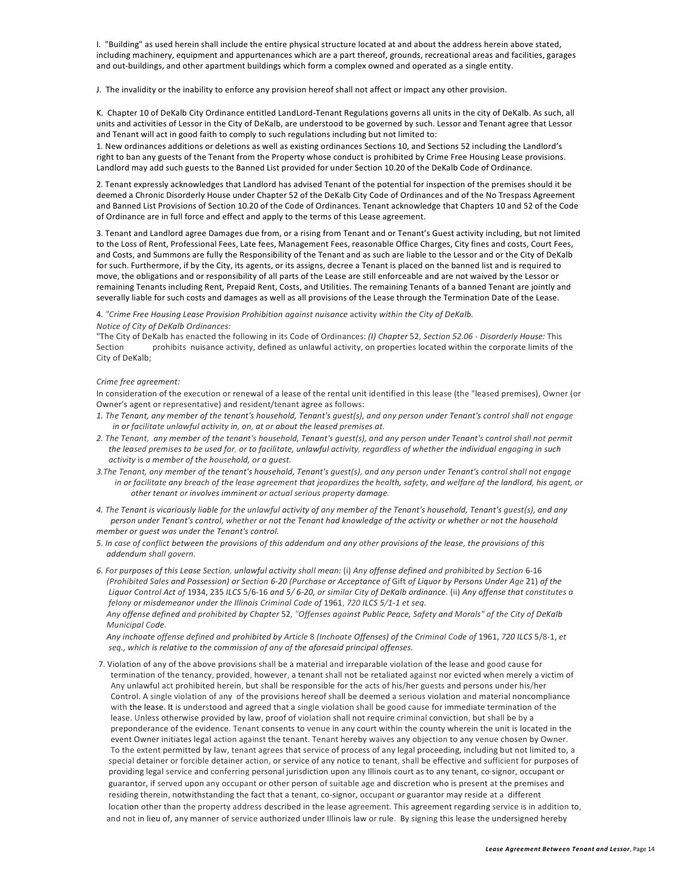I. "Building" as used herein shall include the entire physical structure located at and about the address herein above stated, including machinery, equipment and appurtenances which are a part thereof, grounds, recreational areas and facilities, garages and out-buildings, and other apartment buildings which form a complex owned and operated as a single entity.

J. The invalidity or the inability to enforce any provision hereof shall not affect or impact any other provision.

K. Chapter 10 of DeKalb City Ordinance entitled LandLord-Tenant Regulations governs all units in the city of DeKalb. As such, all units and activities of Lessor in the City of DeKalb, are understood to be governed by such. Lessor and Tenant agree that Lessor and Tenant will act in good faith to comply to such regulations including but not limited to:

1. New ordinances additions or deletions as well as existing ordinances Sections 10, and Sections 52 including the Landlord's right to ban any guests of the Tenant from the Property whose conduct is prohibited by Crime Free Housing Lease provisions. Landlord may add such guests to the Banned List provided for under Section 10.20 of the DeKalb Code of Ordinance.

2. Tenant expressly acknowledges that Landlord has advised Tenant of the potential for inspection of the premises should it be deemed a Chronic Disorderly House under Chapter 52 of the DeKalb City Code of Ordinances and of the No Trespass Agreement and Banned List Provisions of Section 10.20 of the Code of Ordinances. Tenant acknowledge that Chapters 10 and 52 of the Code of Ordinance are in full force and effect and apply to the terms of this Lease agreement.

3. Tenant and Landlord agree Damages due from, or a rising from Tenant and or Tenant's Guest activity including, but not limited to the Loss of Rent, Professional Fees, Late fees, Management Fees, reasonable Office Charges, City fines and costs, Court Fees, and Costs, and Summons are fully the Responsibility of the Tenant and as such are liable to the Lessor and or the City of DeKalb for such. Furthermore, if by the City, its agents, or its assigns, decree a Tenant is placed on the banned list and is required to move, the obligations and or responsibility of all parts of the Lease are still enforceable and are not waived by the Lessor or remaining Tenants including Rent, Prepaid Rent, Costs, and Utilities. The remaining Tenants of a banned Tenant are jointly and severally liable for such costs and damages as well as all provisions of the Lease through the Termination Date of the Lease.

4. *"Crime Free Housing Lease Provision Prohibition against nuisance* activity *within the City of DeKalb. Notice of City of DeKalb Ordinances:*

"The City of DeKalb has enacted the following in its Code of Ordinances: *(I) Chapter* 52, *Section 52.06* - *Disorderly House:* This Section prohibits nuisance activity, defined as unlawful activity, on properties located within the corporate limits of the City of DeKalb;

### *Crime free agreement:*

In consideration of the execution or renewal of a lease of the rental unit identified in this lease (the "leased premises), Owner (or Owner's agent or representative) and resident/tenant agree as follows:

- *1. The Tenant, any member of the tenant's household, Tenant's guest(s), and any person under Tenant's control shall not engage in or facilitate unlawful activity in, on, at or about the leased premises at.*
- *2. The Tenant, .any member of the tenant's household, Tenant's guest(s), and any person under Tenant's control shall not permit the leased premises to be used for, or to facilitate, unlawful activity, regardless of whether the individual engaging in such activity* is *a member of the household, or a guest.*
- *3.The Tenant, any member of the tenant's household, Tenant's guest(s), and any person under Tenant's control shall not engage in or facilitate any breach of the lease agreement that jeopardizes the health, safety, and welfare of the landlord, his agent, or other tenant or involves imminent or actual serious property damage.*
- *4. The Tenant is vicariously liable for the unlawful activity of any member of the Tenant's household, Tenant's guest(s), and any person under Tenant's control, whether or not the Tenant had knowledge of the activity or whether or not the household member or guest was under the Tenant's control.*
- *5. In case of conflict between the provisions of this addendum and any other provisions of the lease, the provisions of this addendum shall govern.*
- *6. For purposes of this Lease Section, unlawful activity shall mean:* (i) *Any offense defined and prohibited by Section* 6-16  *(Prohibited Sales and Possession) or Section 6-20 (Purchase or Acceptance of* Gift *of Liquor by Persons Under Age* 21) *of the Liquor Control Act of* 1934, 235 *ILCS* 5/6-16 *and 5/ 6-20, or similar City of DeKalb ordinance.* (ii) *Any offense that constitutes a felony or misdemeanor under the Illinois Criminal Code of* 1961, *720 ILCS 5/1-1 et seq.*

 *Any offense defined and prohibited by Chapter* 52, *"Offenses against Public Peace, Safety and Morals" of the City of DeKalb Municipal Code.*

 *Any inchoate offense defined and prohibited by Article* 8 *(Inchoate Offenses) of the Criminal Code of* 1961, *720 ILCS* 5/8-1, *et seq., which is relative to the commission of any of the aforesaid principal offenses.*

 7. Violation of any of the above provisions shall be a material and irreparable violation of the lease and good cause for termination of the tenancy, provided, however, a tenant shall not be retaliated against nor evicted when merely a victim of Any unlawful act prohibited herein, but shall be responsible for the acts of his/her guests and persons under his/her Control. A single violation of any of the provisions hereof shall be deemed a serious violation and material noncompliance with the lease. It is understood and agreed that a single violation shall be good cause for immediate termination of the lease. Unless otherwise provided by law, proof of violation shall not require criminal conviction, but shall be by a preponderance of the evidence. Tenant consents to venue in any court within the county wherein the unit is located in the event Owner initiates legal action against the tenant. Tenant hereby waives any objection to any venue chosen by Owner. To the extent permitted by law, tenant agrees that service of process of any legal proceeding, including but not limited to, a special detainer or forcible detainer action, or service of any notice to tenant, shall be effective and sufficient for purposes of providing legal service and conferring personal jurisdiction upon any Illinois court as to any tenant, co·signor, occupant or guarantor, if served upon any occupant or other person of suitable age and discretion who is present at the premises and residing therein, notwithstanding the fact that a tenant, co-signor, occupant or guarantor may reside at a different location other than the property address described in the lease agreement. This agreement regarding service is in addition to, and not in lieu of, any manner of service authorized under Illinois law or rule. By signing this lease the undersigned hereby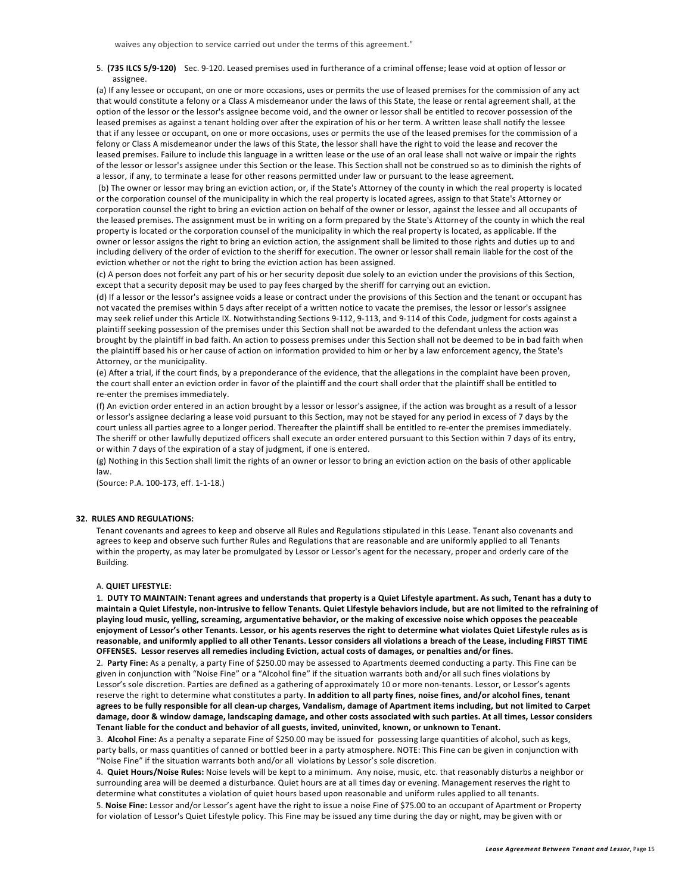5. **(735 ILCS 5/9-120)** Sec. 9-120. Leased premises used in furtherance of a criminal offense; lease void at option of lessor or assignee.

 (a) If any lessee or occupant, on one or more occasions, uses or permits the use of leased premises for the commission of any act that would constitute a felony or a Class A misdemeanor under the laws of this State, the lease or rental agreement shall, at the option of the lessor or the lessor's assignee become void, and the owner or lessor shall be entitled to recover possession of the leased premises as against a tenant holding over after the expiration of his or her term. A written lease shall notify the lessee that if any lessee or occupant, on one or more occasions, uses or permits the use of the leased premises for the commission of a felony or Class A misdemeanor under the laws of this State, the lessor shall have the right to void the lease and recover the leased premises. Failure to include this language in a written lease or the use of an oral lease shall not waive or impair the rights of the lessor or lessor's assignee under this Section or the lease. This Section shall not be construed so as to diminish the rights of a lessor, if any, to terminate a lease for other reasons permitted under law or pursuant to the lease agreement.

 (b) The owner or lessor may bring an eviction action, or, if the State's Attorney of the county in which the real property is located or the corporation counsel of the municipality in which the real property is located agrees, assign to that State's Attorney or corporation counsel the right to bring an eviction action on behalf of the owner or lessor, against the lessee and all occupants of the leased premises. The assignment must be in writing on a form prepared by the State's Attorney of the county in which the real property is located or the corporation counsel of the municipality in which the real property is located, as applicable. If the owner or lessor assigns the right to bring an eviction action, the assignment shall be limited to those rights and duties up to and including delivery of the order of eviction to the sheriff for execution. The owner or lessor shall remain liable for the cost of the eviction whether or not the right to bring the eviction action has been assigned.

 (c) A person does not forfeit any part of his or her security deposit due solely to an eviction under the provisions of this Section, except that a security deposit may be used to pay fees charged by the sheriff for carrying out an eviction.

 (d) If a lessor or the lessor's assignee voids a lease or contract under the provisions of this Section and the tenant or occupant has not vacated the premises within 5 days after receipt of a written notice to vacate the premises, the lessor or lessor's assignee may seek relief under this Article IX. Notwithstanding Sections 9-112, 9-113, and 9-114 of this Code, judgment for costs against a plaintiff seeking possession of the premises under this Section shall not be awarded to the defendant unless the action was brought by the plaintiff in bad faith. An action to possess premises under this Section shall not be deemed to be in bad faith when the plaintiff based his or her cause of action on information provided to him or her by a law enforcement agency, the State's Attorney, or the municipality.

 (e) After a trial, if the court finds, by a preponderance of the evidence, that the allegations in the complaint have been proven, the court shall enter an eviction order in favor of the plaintiff and the court shall order that the plaintiff shall be entitled to re-enter the premises immediately.

 (f) An eviction order entered in an action brought by a lessor or lessor's assignee, if the action was brought as a result of a lessor or lessor's assignee declaring a lease void pursuant to this Section, may not be stayed for any period in excess of 7 days by the court unless all parties agree to a longer period. Thereafter the plaintiff shall be entitled to re-enter the premises immediately. The sheriff or other lawfully deputized officers shall execute an order entered pursuant to this Section within 7 days of its entry, or within 7 days of the expiration of a stay of judgment, if one is entered.

 (g) Nothing in this Section shall limit the rights of an owner or lessor to bring an eviction action on the basis of other applicable law.

(Source: P.A. 100-173, eff. 1-1-18.)

# **32. RULES AND REGULATIONS:**

Tenant covenants and agrees to keep and observe all Rules and Regulations stipulated in this Lease. Tenant also covenants and agrees to keep and observe such further Rules and Regulations that are reasonable and are uniformly applied to all Tenants within the property, as may later be promulgated by Lessor or Lessor's agent for the necessary, proper and orderly care of the Building.

#### A. **QUIET LIFESTYLE:**

1. **DUTY TO MAINTAIN: Tenant agrees and understands that property is a Quiet Lifestyle apartment. As such, Tenant has a duty to maintain a Quiet Lifestyle, non-intrusive to fellow Tenants. Quiet Lifestyle behaviors include, but are not limited to the refraining of playing loud music, yelling, screaming, argumentative behavior, or the making of excessive noise which opposes the peaceable enjoyment of Lessor's other Tenants. Lessor, or his agents reserves the right to determine what violates Quiet Lifestyle rules as is reasonable, and uniformly applied to all other Tenants. Lessor considers all violations a breach of the Lease, including FIRST TIME OFFENSES. Lessor reserves all remedies including Eviction, actual costs of damages, or penalties and/or fines.**

2. Party Fine: As a penalty, a party Fine of \$250.00 may be assessed to Apartments deemed conducting a party. This Fine can be given in conjunction with "Noise Fine" or a "Alcohol fine" if the situation warrants both and/or all such fines violations by Lessor's sole discretion. Parties are defined as a gathering of approximately 10 or more non-tenants. Lessor, or Lessor's agents reserve the right to determine what constitutes a party. **In addition to all party fines, noise fines, and/or alcohol fines, tenant agrees to be fully responsible for all clean-up charges, Vandalism, damage of Apartment items including, but not limited to Carpet damage, door & window damage, landscaping damage, and other costs associated with such parties. At all times, Lessor considers Tenant liable for the conduct and behavior of all guests, invited, uninvited, known, or unknown to Tenant.**

3. **Alcohol Fine:** As a penalty a separate Fine of \$250.00 may be issued for possessing large quantities of alcohol, such as kegs, party balls, or mass quantities of canned or bottled beer in a party atmosphere. NOTE: This Fine can be given in conjunction with "Noise Fine" if the situation warrants both and/or all violations by Lessor's sole discretion.

4. **Quiet Hours/Noise Rules:** Noise levels will be kept to a minimum. Any noise, music, etc. that reasonably disturbs a neighbor or surrounding area will be deemed a disturbance. Quiet hours are at all times day or evening. Management reserves the right to determine what constitutes a violation of quiet hours based upon reasonable and uniform rules applied to all tenants.

5. **Noise Fine:** Lessor and/or Lessor's agent have the right to issue a noise Fine of \$75.00 to an occupant of Apartment or Property for violation of Lessor's Quiet Lifestyle policy. This Fine may be issued any time during the day or night, may be given with or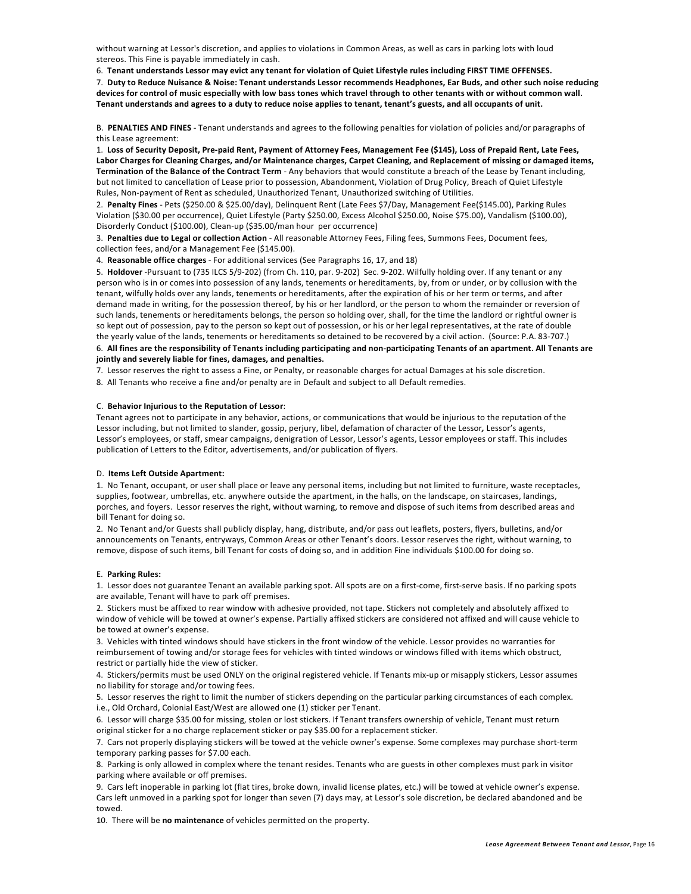without warning at Lessor's discretion, and applies to violations in Common Areas, as well as cars in parking lots with loud stereos. This Fine is payable immediately in cash.

6. **Tenant understands Lessor may evict any tenant for violation of Quiet Lifestyle rules including FIRST TIME OFFENSES.** 

7. **Duty to Reduce Nuisance & Noise: Tenant understands Lessor recommends Headphones, Ear Buds, and other such noise reducing devices for control of music especially with low bass tones which travel through to other tenants with or without common wall. Tenant understands and agrees to a duty to reduce noise applies to tenant, tenant's guests, and all occupants of unit.** 

B. **PENALTIES AND FINES** - Tenant understands and agrees to the following penalties for violation of policies and/or paragraphs of this Lease agreement:

1. **Loss of Security Deposit, Pre-paid Rent, Payment of Attorney Fees, Management Fee (\$145), Loss of Prepaid Rent, Late Fees, Labor Charges for Cleaning Charges, and/or Maintenance charges, Carpet Cleaning, and Replacement of missing or damaged items, Termination of the Balance of the Contract Term** - Any behaviors that would constitute a breach of the Lease by Tenant including, but not limited to cancellation of Lease prior to possession, Abandonment, Violation of Drug Policy, Breach of Quiet Lifestyle Rules, Non-payment of Rent as scheduled, Unauthorized Tenant, Unauthorized switching of Utilities.

2. **Penalty Fines** - Pets (\$250.00 & \$25.00/day), Delinquent Rent (Late Fees \$7/Day, Management Fee(\$145.00), Parking Rules Violation (\$30.00 per occurrence), Quiet Lifestyle (Party \$250.00, Excess Alcohol \$250.00, Noise \$75.00), Vandalism (\$100.00), Disorderly Conduct (\$100.00), Clean-up (\$35.00/man hour per occurrence)

3. **Penalties due to Legal or collection Action** - All reasonable Attorney Fees, Filing fees, Summons Fees, Document fees, collection fees, and/or a Management Fee (\$145.00).

4. **Reasonable office charges** - For additional services (See Paragraphs 16, 17, and 18)

5. **Holdover** -Pursuant to (735 ILCS 5/9-202) (from Ch. 110, par. 9-202) Sec. 9-202. Wilfully holding over. If any tenant or any person who is in or comes into possession of any lands, tenements or hereditaments, by, from or under, or by collusion with the tenant, wilfully holds over any lands, tenements or hereditaments, after the expiration of his or her term or terms, and after demand made in writing, for the possession thereof, by his or her landlord, or the person to whom the remainder or reversion of such lands, tenements or hereditaments belongs, the person so holding over, shall, for the time the landlord or rightful owner is so kept out of possession, pay to the person so kept out of possession, or his or her legal representatives, at the rate of double the yearly value of the lands, tenements or hereditaments so detained to be recovered by a civil action. (Source: P.A. 83-707.)

# 6. **All fines are the responsibility of Tenants including participating and non-participating Tenants of an apartment. All Tenants are jointly and severely liable for fines, damages, and penalties.**

7. Lessor reserves the right to assess a Fine, or Penalty, or reasonable charges for actual Damages at his sole discretion.

8. All Tenants who receive a fine and/or penalty are in Default and subject to all Default remedies.

### C. **Behavior Injurious to the Reputation of Lessor**:

Tenant agrees not to participate in any behavior, actions, or communications that would be injurious to the reputation of the Lessor including, but not limited to slander, gossip, perjury, libel, defamation of character of the Lessor*,* Lessor's agents, Lessor's employees, or staff, smear campaigns, denigration of Lessor, Lessor's agents, Lessor employees or staff. This includes publication of Letters to the Editor, advertisements, and/or publication of flyers.

### D.**Items Left Outside Apartment:**

1. No Tenant, occupant, or user shall place or leave any personal items, including but not limited to furniture, waste receptacles, supplies, footwear, umbrellas, etc. anywhere outside the apartment, in the halls, on the landscape, on staircases, landings, porches, and foyers. Lessor reserves the right, without warning, to remove and dispose of such items from described areas and bill Tenant for doing so.

2. No Tenant and/or Guests shall publicly display, hang, distribute, and/or pass out leaflets, posters, flyers, bulletins, and/or announcements on Tenants, entryways, Common Areas or other Tenant's doors. Lessor reserves the right, without warning, to remove, dispose of such items, bill Tenant for costs of doing so, and in addition Fine individuals \$100.00 for doing so.

### E. **Parking Rules:**

1. Lessor does not guarantee Tenant an available parking spot. All spots are on a first-come, first-serve basis. If no parking spots are available, Tenant will have to park off premises.

2. Stickers must be affixed to rear window with adhesive provided, not tape. Stickers not completely and absolutely affixed to window of vehicle will be towed at owner's expense. Partially affixed stickers are considered not affixed and will cause vehicle to be towed at owner's expense.

3. Vehicles with tinted windows should have stickers in the front window of the vehicle. Lessor provides no warranties for reimbursement of towing and/or storage fees for vehicles with tinted windows or windows filled with items which obstruct, restrict or partially hide the view of sticker.

4. Stickers/permits must be used ONLY on the original registered vehicle. If Tenants mix-up or misapply stickers, Lessor assumes no liability for storage and/or towing fees.

5. Lessor reserves the right to limit the number of stickers depending on the particular parking circumstances of each complex. i.e., Old Orchard, Colonial East/West are allowed one (1) sticker per Tenant.

6. Lessor will charge \$35.00 for missing, stolen or lost stickers. If Tenant transfers ownership of vehicle, Tenant must return original sticker for a no charge replacement sticker or pay \$35.00 for a replacement sticker.

7. Cars not properly displaying stickers will be towed at the vehicle owner's expense. Some complexes may purchase short-term temporary parking passes for \$7.00 each.

8. Parking is only allowed in complex where the tenant resides. Tenants who are guests in other complexes must park in visitor parking where available or off premises.

9. Cars left inoperable in parking lot (flat tires, broke down, invalid license plates, etc.) will be towed at vehicle owner's expense. Cars left unmoved in a parking spot for longer than seven (7) days may, at Lessor's sole discretion, be declared abandoned and be towed.

10. There will be **no maintenance** of vehicles permitted on the property.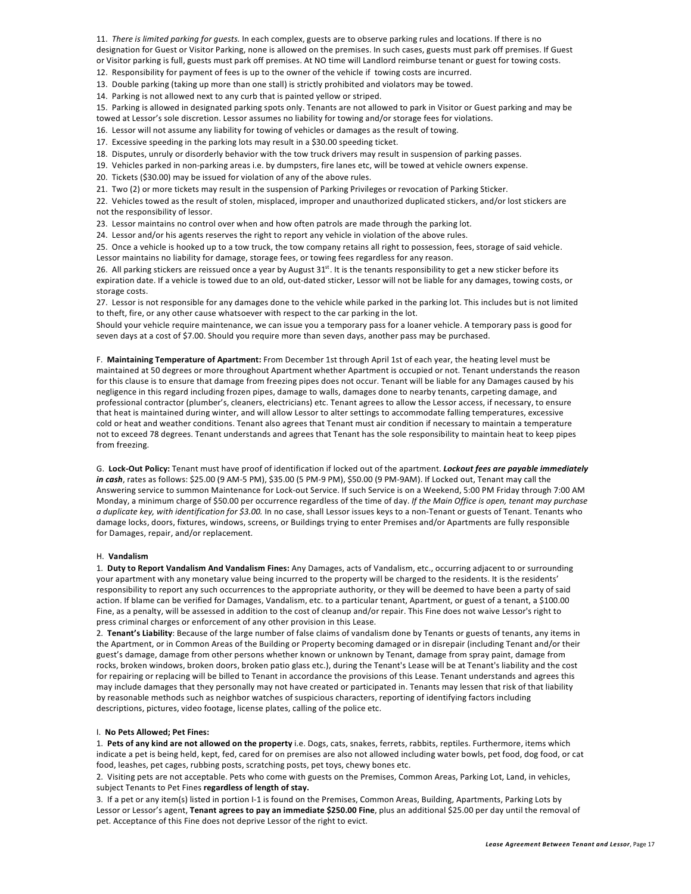11. *There is limited parking for guests.* In each complex, guests are to observe parking rules and locations. If there is no designation for Guest or Visitor Parking, none is allowed on the premises. In such cases, guests must park off premises. If Guest or Visitor parking is full, guests must park off premises. At NO time will Landlord reimburse tenant or guest for towing costs.

12. Responsibility for payment of fees is up to the owner of the vehicle if towing costs are incurred.

13. Double parking (taking up more than one stall) is strictly prohibited and violators may be towed.

14. Parking is not allowed next to any curb that is painted yellow or striped.

15. Parking is allowed in designated parking spots only. Tenants are not allowed to park in Visitor or Guest parking and may be towed at Lessor's sole discretion. Lessor assumes no liability for towing and/or storage fees for violations.

16. Lessor will not assume any liability for towing of vehicles or damages as the result of towing.

17. Excessive speeding in the parking lots may result in a \$30.00 speeding ticket.

18. Disputes, unruly or disorderly behavior with the tow truck drivers may result in suspension of parking passes.

19. Vehicles parked in non-parking areas i.e. by dumpsters, fire lanes etc, will be towed at vehicle owners expense.

20. Tickets (\$30.00) may be issued for violation of any of the above rules.

21. Two (2) or more tickets may result in the suspension of Parking Privileges or revocation of Parking Sticker.

22. Vehicles towed as the result of stolen, misplaced, improper and unauthorized duplicated stickers, and/or lost stickers are not the responsibility of lessor.

23. Lessor maintains no control over when and how often patrols are made through the parking lot.

24. Lessor and/or his agents reserves the right to report any vehicle in violation of the above rules.

25. Once a vehicle is hooked up to a tow truck, the tow company retains all right to possession, fees, storage of said vehicle. Lessor maintains no liability for damage, storage fees, or towing fees regardless for any reason.

26. All parking stickers are reissued once a year by August  $31<sup>st</sup>$ . It is the tenants responsibility to get a new sticker before its expiration date. If a vehicle is towed due to an old, out-dated sticker, Lessor will not be liable for any damages, towing costs, or storage costs.

27. Lessor is not responsible for any damages done to the vehicle while parked in the parking lot. This includes but is not limited to theft, fire, or any other cause whatsoever with respect to the car parking in the lot.

Should your vehicle require maintenance, we can issue you a temporary pass for a loaner vehicle. A temporary pass is good for seven days at a cost of \$7.00. Should you require more than seven days, another pass may be purchased.

F. **Maintaining Temperature of Apartment:** From December 1st through April 1st of each year, the heating level must be maintained at 50 degrees or more throughout Apartment whether Apartment is occupied or not. Tenant understands the reason for this clause is to ensure that damage from freezing pipes does not occur. Tenant will be liable for any Damages caused by his negligence in this regard including frozen pipes, damage to walls, damages done to nearby tenants, carpeting damage, and professional contractor (plumber's, cleaners, electricians) etc. Tenant agrees to allow the Lessor access, if necessary, to ensure that heat is maintained during winter, and will allow Lessor to alter settings to accommodate falling temperatures, excessive cold or heat and weather conditions. Tenant also agrees that Tenant must air condition if necessary to maintain a temperature not to exceed 78 degrees. Tenant understands and agrees that Tenant has the sole responsibility to maintain heat to keep pipes from freezing.

G. **Lock-Out Policy:** Tenant must have proof of identification if locked out of the apartment. *Lockout fees are payable immediately in cash*, rates as follows: \$25.00 (9 AM-5 PM), \$35.00 (5 PM-9 PM), \$50.00 (9 PM-9AM). If Locked out, Tenant may call the Answering service to summon Maintenance for Lock-out Service. If such Service is on a Weekend, 5:00 PM Friday through 7:00 AM Monday, a minimum charge of \$50.00 per occurrence regardless of the time of day. *If the Main Office is open, tenant may purchase a duplicate key, with identification for \$3.00.* In no case, shall Lessor issues keys to a non-Tenant or guests of Tenant. Tenants who damage locks, doors, fixtures, windows, screens, or Buildings trying to enter Premises and/or Apartments are fully responsible for Damages, repair, and/or replacement.

# H. **Vandalism**

1. **Duty to Report Vandalism And Vandalism Fines:** Any Damages, acts of Vandalism, etc., occurring adjacent to or surrounding your apartment with any monetary value being incurred to the property will be charged to the residents. It is the residents' responsibility to report any such occurrences to the appropriate authority, or they will be deemed to have been a party of said action. If blame can be verified for Damages, Vandalism, etc. to a particular tenant, Apartment, or guest of a tenant, a \$100.00 Fine, as a penalty, will be assessed in addition to the cost of cleanup and/or repair. This Fine does not waive Lessor's right to press criminal charges or enforcement of any other provision in this Lease.

2. **Tenant's Liability**: Because of the large number of false claims of vandalism done by Tenants or guests of tenants, any items in the Apartment, or in Common Areas of the Building or Property becoming damaged or in disrepair (including Tenant and/or their guest's damage, damage from other persons whether known or unknown by Tenant, damage from spray paint, damage from rocks, broken windows, broken doors, broken patio glass etc.), during the Tenant's Lease will be at Tenant's liability and the cost for repairing or replacing will be billed to Tenant in accordance the provisions of this Lease. Tenant understands and agrees this may include damages that they personally may not have created or participated in. Tenants may lessen that risk of that liability by reasonable methods such as neighbor watches of suspicious characters, reporting of identifying factors including descriptions, pictures, video footage, license plates, calling of the police etc.

# I. **No Pets Allowed; Pet Fines:**

1. **Pets of any kind are not allowed on the property** i.e. Dogs, cats, snakes, ferrets, rabbits, reptiles. Furthermore, items which indicate a pet is being held, kept, fed, cared for on premises are also not allowed including water bowls, pet food, dog food, or cat food, leashes, pet cages, rubbing posts, scratching posts, pet toys, chewy bones etc.

 2. Visiting pets are not acceptable. Pets who come with guests on the Premises, Common Areas, Parking Lot, Land, in vehicles, subject Tenants to Pet Fines **regardless of length of stay.** 

 3. If a pet or any item(s) listed in portion I-1 is found on the Premises, Common Areas, Building, Apartments, Parking Lots by Lessor or Lessor's agent, **Tenant agrees to pay an immediate \$250.00 Fine**, plus an additional \$25.00 per day until the removal of pet. Acceptance of this Fine does not deprive Lessor of the right to evict.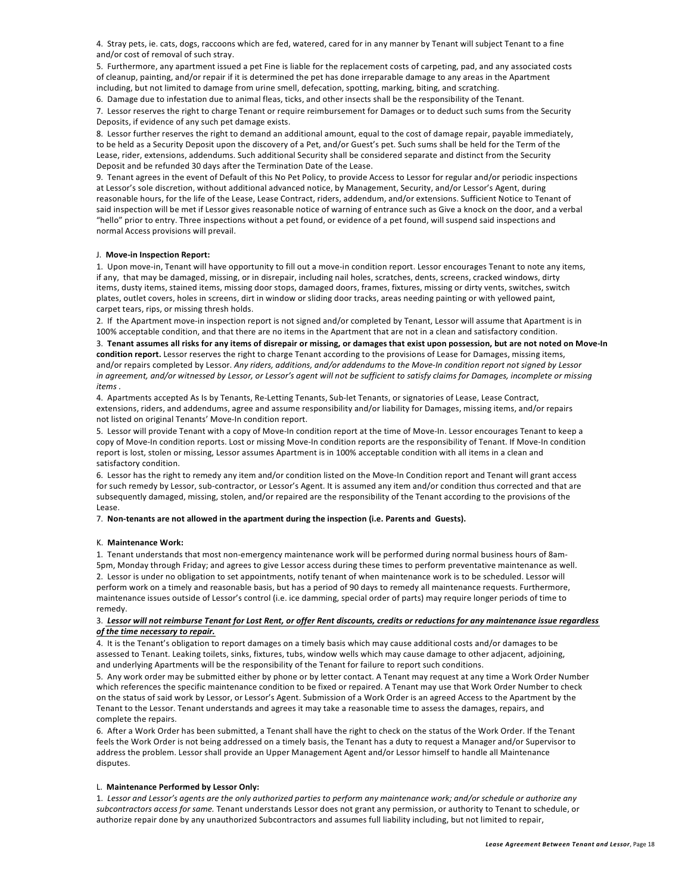4. Stray pets, ie. cats, dogs, raccoons which are fed, watered, cared for in any manner by Tenant will subject Tenant to a fine and/or cost of removal of such stray.

 5. Furthermore, any apartment issued a pet Fine is liable for the replacement costs of carpeting, pad, and any associated costs of cleanup, painting, and/or repair if it is determined the pet has done irreparable damage to any areas in the Apartment including, but not limited to damage from urine smell, defecation, spotting, marking, biting, and scratching.

6. Damage due to infestation due to animal fleas, ticks, and other insects shall be the responsibility of the Tenant.

 7. Lessor reserves the right to charge Tenant or require reimbursement for Damages or to deduct such sums from the Security Deposits, if evidence of any such pet damage exists.

 8. Lessor further reserves the right to demand an additional amount, equal to the cost of damage repair, payable immediately, to be held as a Security Deposit upon the discovery of a Pet, and/or Guest's pet. Such sums shall be held for the Term of the Lease, rider, extensions, addendums. Such additional Security shall be considered separate and distinct from the Security Deposit and be refunded 30 days after the Termination Date of the Lease.

 9. Tenant agrees in the event of Default of this No Pet Policy, to provide Access to Lessor for regular and/or periodic inspections at Lessor's sole discretion, without additional advanced notice, by Management, Security, and/or Lessor's Agent, during reasonable hours, for the life of the Lease, Lease Contract, riders, addendum, and/or extensions. Sufficient Notice to Tenant of said inspection will be met if Lessor gives reasonable notice of warning of entrance such as Give a knock on the door, and a verbal "hello" prior to entry. Three inspections without a pet found, or evidence of a pet found, will suspend said inspections and normal Access provisions will prevail.

### J. **Move-in Inspection Report:**

1. Upon move-in, Tenant will have opportunity to fill out a move-in condition report. Lessor encourages Tenant to note any items, if any, that may be damaged, missing, or in disrepair, including nail holes, scratches, dents, screens, cracked windows, dirty items, dusty items, stained items, missing door stops, damaged doors, frames, fixtures, missing or dirty vents, switches, switch plates, outlet covers, holes in screens, dirt in window or sliding door tracks, areas needing painting or with yellowed paint, carpet tears, rips, or missing thresh holds.

2. If the Apartment move-in inspection report is not signed and/or completed by Tenant, Lessor will assume that Apartment is in 100% acceptable condition, and that there are no items in the Apartment that are not in a clean and satisfactory condition.

3. **Tenant assumes all risks for any items of disrepair or missing, or damages that exist upon possession, but are not noted on Move-In condition report.** Lessor reserves the right to charge Tenant according to the provisions of Lease for Damages, missing items, and/or repairs completed by Lessor. *Any riders, additions, and/or addendums to the Move-In condition report not signed by Lessor in agreement, and/or witnessed by Lessor, or Lessor's agent will not be sufficient to satisfy claims for Damages, incomplete or missing items .*

4. Apartments accepted As Is by Tenants, Re-Letting Tenants, Sub-let Tenants, or signatories of Lease, Lease Contract, extensions, riders, and addendums, agree and assume responsibility and/or liability for Damages, missing items, and/or repairs not listed on original Tenants' Move-In condition report.

5. Lessor will provide Tenant with a copy of Move-In condition report at the time of Move-In. Lessor encourages Tenant to keep a copy of Move-In condition reports. Lost or missing Move-In condition reports are the responsibility of Tenant. If Move-In condition report is lost, stolen or missing, Lessor assumes Apartment is in 100% acceptable condition with all items in a clean and satisfactory condition.

6. Lessor has the right to remedy any item and/or condition listed on the Move-In Condition report and Tenant will grant access for such remedy by Lessor, sub-contractor, or Lessor's Agent. It is assumed any item and/or condition thus corrected and that are subsequently damaged, missing, stolen, and/or repaired are the responsibility of the Tenant according to the provisions of the Lease.

7. **Non-tenants are not allowed in the apartment during the inspection (i.e. Parents and Guests).**

# K. **Maintenance Work:**

1. Tenant understands that most non-emergency maintenance work will be performed during normal business hours of 8am-5pm, Monday through Friday; and agrees to give Lessor access during these times to perform preventative maintenance as well. 2. Lessor is under no obligation to set appointments, notify tenant of when maintenance work is to be scheduled. Lessor will perform work on a timely and reasonable basis, but has a period of 90 days to remedy all maintenance requests. Furthermore, maintenance issues outside of Lessor's control (i.e. ice damming, special order of parts) may require longer periods of time to remedy.

# 3. *Lessor will not reimburse Tenant for Lost Rent, or offer Rent discounts, credits or reductions for any maintenance issue regardless of the time necessary to repair.*

4. It is the Tenant's obligation to report damages on a timely basis which may cause additional costs and/or damages to be assessed to Tenant. Leaking toilets, sinks, fixtures, tubs, window wells which may cause damage to other adjacent, adjoining, and underlying Apartments will be the responsibility of the Tenant for failure to report such conditions.

5. Any work order may be submitted either by phone or by letter contact. A Tenant may request at any time a Work Order Number which references the specific maintenance condition to be fixed or repaired. A Tenant may use that Work Order Number to check on the status of said work by Lessor, or Lessor's Agent. Submission of a Work Order is an agreed Access to the Apartment by the Tenant to the Lessor. Tenant understands and agrees it may take a reasonable time to assess the damages, repairs, and complete the repairs.

6. After a Work Order has been submitted, a Tenant shall have the right to check on the status of the Work Order. If the Tenant feels the Work Order is not being addressed on a timely basis, the Tenant has a duty to request a Manager and/or Supervisor to address the problem. Lessor shall provide an Upper Management Agent and/or Lessor himself to handle all Maintenance disputes.

# L. **Maintenance Performed by Lessor Only:**

1. *Lessor and Lessor's agents are the only authorized parties to perform any maintenance work; and/or schedule or authorize any subcontractors access for same.* Tenant understands Lessor does not grant any permission, or authority to Tenant to schedule, or authorize repair done by any unauthorized Subcontractors and assumes full liability including, but not limited to repair,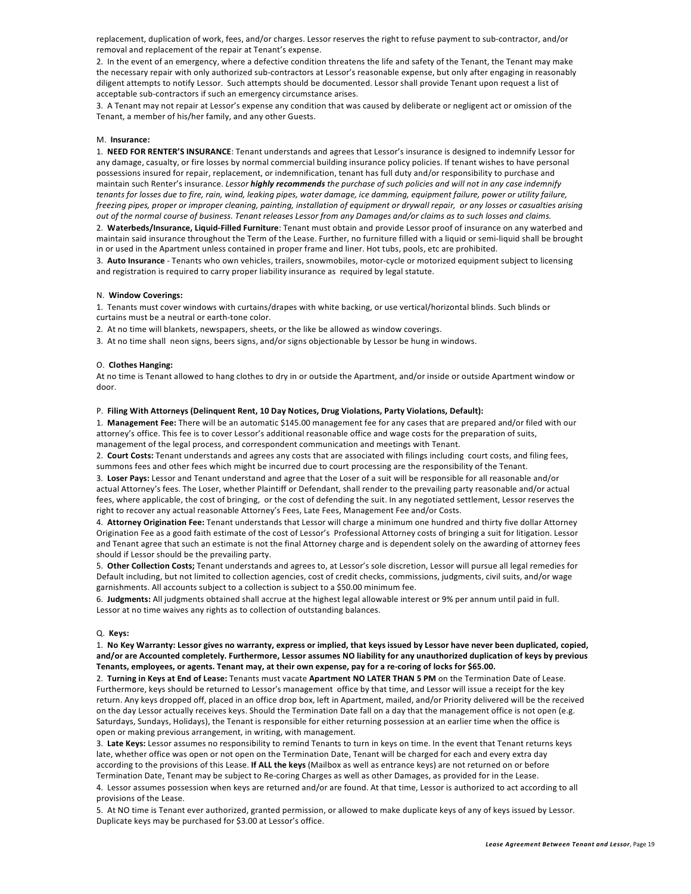replacement, duplication of work, fees, and/or charges. Lessor reserves the right to refuse payment to sub-contractor, and/or removal and replacement of the repair at Tenant's expense.

2. In the event of an emergency, where a defective condition threatens the life and safety of the Tenant, the Tenant may make the necessary repair with only authorized sub-contractors at Lessor's reasonable expense, but only after engaging in reasonably diligent attempts to notify Lessor. Such attempts should be documented. Lessor shall provide Tenant upon request a list of acceptable sub-contractors if such an emergency circumstance arises.

3. A Tenant may not repair at Lessor's expense any condition that was caused by deliberate or negligent act or omission of the Tenant, a member of his/her family, and any other Guests.

### M. **Insurance:**

1. **NEED FOR RENTER'S INSURANCE**: Tenant understands and agrees that Lessor's insurance is designed to indemnify Lessor for any damage, casualty, or fire losses by normal commercial building insurance policy policies. If tenant wishes to have personal possessions insured for repair, replacement, or indemnification, tenant has full duty and/or responsibility to purchase and maintain such Renter's insurance. *Lessor highly recommends the purchase of such policies and will not in any case indemnify tenants for losses due to fire, rain, wind, leaking pipes, water damage, ice damming, equipment failure, power or utility failure, freezing pipes, proper or improper cleaning, painting, installation of equipment or drywall repair, or any losses or casualties arising out of the normal course of business. Tenant releases Lessor from any Damages and/or claims as to such losses and claims.*

2. **Waterbeds/Insurance, Liquid-Filled Furniture**: Tenant must obtain and provide Lessor proof of insurance on any waterbed and maintain said insurance throughout the Term of the Lease. Further, no furniture filled with a liquid or semi-liquid shall be brought in or used in the Apartment unless contained in proper frame and liner. Hot tubs, pools, etc are prohibited.

3. **Auto Insurance** - Tenants who own vehicles, trailers, snowmobiles, motor-cycle or motorized equipment subject to licensing and registration is required to carry proper liability insurance as required by legal statute.

### N. **Window Coverings:**

1. Tenants must cover windows with curtains/drapes with white backing, or use vertical/horizontal blinds. Such blinds or curtains must be a neutral or earth-tone color.

2. At no time will blankets, newspapers, sheets, or the like be allowed as window coverings.

3. At no time shall neon signs, beers signs, and/or signs objectionable by Lessor be hung in windows.

### O. **Clothes Hanging:**

At no time is Tenant allowed to hang clothes to dry in or outside the Apartment, and/or inside or outside Apartment window or door.

## P. **Filing With Attorneys (Delinquent Rent, 10 Day Notices, Drug Violations, Party Violations, Default):**

1. **Management Fee:** There will be an automatic \$145.00 management fee for any cases that are prepared and/or filed with our attorney's office. This fee is to cover Lessor's additional reasonable office and wage costs for the preparation of suits, management of the legal process, and correspondent communication and meetings with Tenant.

2. **Court Costs:** Tenant understands and agrees any costs that are associated with filings including court costs, and filing fees, summons fees and other fees which might be incurred due to court processing are the responsibility of the Tenant.

3. **Loser Pays:** Lessor and Tenant understand and agree that the Loser of a suit will be responsible for all reasonable and/or actual Attorney's fees. The Loser, whether Plaintiff or Defendant, shall render to the prevailing party reasonable and/or actual fees, where applicable, the cost of bringing, or the cost of defending the suit. In any negotiated settlement, Lessor reserves the right to recover any actual reasonable Attorney's Fees, Late Fees, Management Fee and/or Costs.

4. **Attorney Origination Fee:** Tenant understands that Lessor will charge a minimum one hundred and thirty five dollar Attorney Origination Fee as a good faith estimate of the cost of Lessor's Professional Attorney costs of bringing a suit for litigation. Lessor and Tenant agree that such an estimate is not the final Attorney charge and is dependent solely on the awarding of attorney fees should if Lessor should be the prevailing party.

5. **Other Collection Costs;** Tenant understands and agrees to, at Lessor's sole discretion, Lessor will pursue all legal remedies for Default including, but not limited to collection agencies, cost of credit checks, commissions, judgments, civil suits, and/or wage garnishments. All accounts subject to a collection is subject to a \$50.00 minimum fee.

6. **Judgments:** All judgments obtained shall accrue at the highest legal allowable interest or 9% per annum until paid in full. Lessor at no time waives any rights as to collection of outstanding balances.

### Q.**Keys:**

1. **No Key Warranty: Lessor gives no warranty, express or implied, that keys issued by Lessor have never been duplicated, copied, and/or are Accounted completely. Furthermore, Lessor assumes NO liability for any unauthorized duplication of keys by previous Tenants, employees, or agents. Tenant may, at their own expense, pay for a re-coring of locks for \$65.00.** 

2. **Turning in Keys at End of Lease:** Tenants must vacate **Apartment NO LATER THAN 5 PM** on the Termination Date of Lease. Furthermore, keys should be returned to Lessor's management office by that time, and Lessor will issue a receipt for the key return. Any keys dropped off, placed in an office drop box, left in Apartment, mailed, and/or Priority delivered will be the received on the day Lessor actually receives keys. Should the Termination Date fall on a day that the management office is not open (e.g. Saturdays, Sundays, Holidays), the Tenant is responsible for either returning possession at an earlier time when the office is open or making previous arrangement, in writing, with management.

3. **Late Keys:** Lessor assumes no responsibility to remind Tenants to turn in keys on time. In the event that Tenant returns keys late, whether office was open or not open on the Termination Date, Tenant will be charged for each and every extra day according to the provisions of this Lease. **If ALL the keys** (Mailbox as well as entrance keys) are not returned on or before Termination Date, Tenant may be subject to Re-coring Charges as well as other Damages, as provided for in the Lease.

4. Lessor assumes possession when keys are returned and/or are found. At that time, Lessor is authorized to act according to all provisions of the Lease.

5. At NO time is Tenant ever authorized, granted permission, or allowed to make duplicate keys of any of keys issued by Lessor. Duplicate keys may be purchased for \$3.00 at Lessor's office.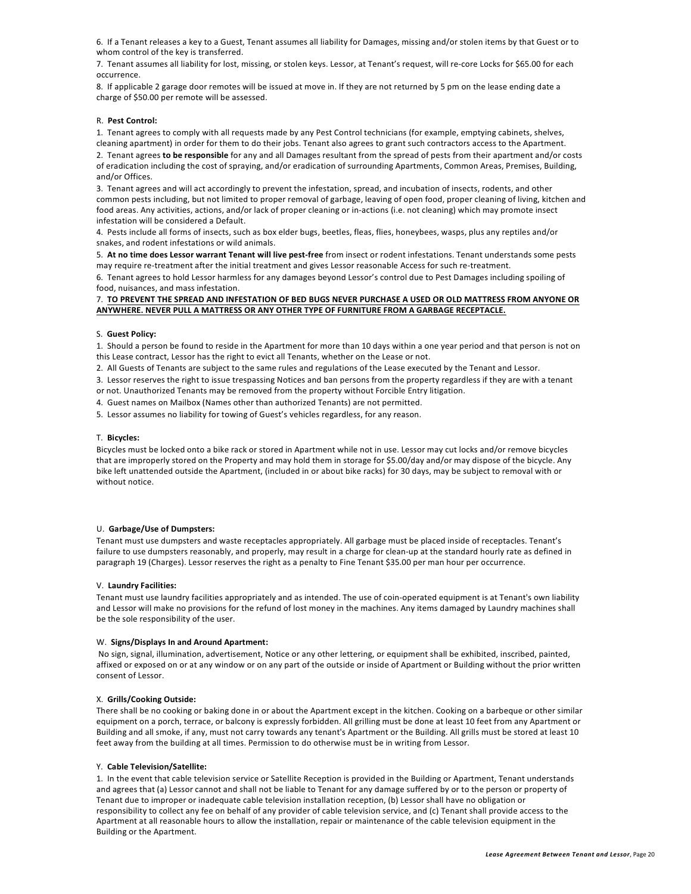6. If a Tenant releases a key to a Guest, Tenant assumes all liability for Damages, missing and/or stolen items by that Guest or to whom control of the key is transferred.

7. Tenant assumes all liability for lost, missing, or stolen keys. Lessor, at Tenant's request, will re-core Locks for \$65.00 for each occurrence.

8. If applicable 2 garage door remotes will be issued at move in. If they are not returned by 5 pm on the lease ending date a charge of \$50.00 per remote will be assessed.

# R. **Pest Control:**

1. Tenant agrees to comply with all requests made by any Pest Control technicians (for example, emptying cabinets, shelves, cleaning apartment) in order for them to do their jobs. Tenant also agrees to grant such contractors access to the Apartment.

2. Tenant agrees **to be responsible** for any and all Damages resultant from the spread of pests from their apartment and/or costs of eradication including the cost of spraying, and/or eradication of surrounding Apartments, Common Areas, Premises, Building, and/or Offices.

3. Tenant agrees and will act accordingly to prevent the infestation, spread, and incubation of insects, rodents, and other common pests including, but not limited to proper removal of garbage, leaving of open food, proper cleaning of living, kitchen and food areas. Any activities, actions, and/or lack of proper cleaning or in-actions (i.e. not cleaning) which may promote insect infestation will be considered a Default.

4. Pests include all forms of insects, such as box elder bugs, beetles, fleas, flies, honeybees, wasps, plus any reptiles and/or snakes, and rodent infestations or wild animals.

5. **At no time does Lessor warrant Tenant will live pest-free** from insect or rodent infestations. Tenant understands some pests may require re-treatment after the initial treatment and gives Lessor reasonable Access for such re-treatment.

6. Tenant agrees to hold Lessor harmless for any damages beyond Lessor's control due to Pest Damages including spoiling of food, nuisances, and mass infestation.

# 7. **TO PREVENT THE SPREAD AND INFESTATION OF BED BUGS NEVER PURCHASE A USED OR OLD MATTRESS FROM ANYONE OR ANYWHERE. NEVER PULL A MATTRESS OR ANY OTHER TYPE OF FURNITURE FROM A GARBAGE RECEPTACLE.**

### S. **Guest Policy:**

1. Should a person be found to reside in the Apartment for more than 10 days within a one year period and that person is not on this Lease contract, Lessor has the right to evict all Tenants, whether on the Lease or not.

2. All Guests of Tenants are subject to the same rules and regulations of the Lease executed by the Tenant and Lessor.

3. Lessor reserves the right to issue trespassing Notices and ban persons from the property regardless if they are with a tenant

or not. Unauthorized Tenants may be removed from the property without Forcible Entry litigation.

4. Guest names on Mailbox (Names other than authorized Tenants) are not permitted.

5. Lessor assumes no liability for towing of Guest's vehicles regardless, for any reason.

### T. **Bicycles:**

Bicycles must be locked onto a bike rack or stored in Apartment while not in use. Lessor may cut locks and/or remove bicycles that are improperly stored on the Property and may hold them in storage for \$5.00/day and/or may dispose of the bicycle. Any bike left unattended outside the Apartment, (included in or about bike racks) for 30 days, may be subject to removal with or without notice.

# U. **Garbage/Use of Dumpsters:**

Tenant must use dumpsters and waste receptacles appropriately. All garbage must be placed inside of receptacles. Tenant's failure to use dumpsters reasonably, and properly, may result in a charge for clean-up at the standard hourly rate as defined in paragraph 19 (Charges). Lessor reserves the right as a penalty to Fine Tenant \$35.00 per man hour per occurrence.

### V. **Laundry Facilities:**

Tenant must use laundry facilities appropriately and as intended. The use of coin-operated equipment is at Tenant's own liability and Lessor will make no provisions for the refund of lost money in the machines. Any items damaged by Laundry machines shall be the sole responsibility of the user.

# W. **Signs/Displays In and Around Apartment:**

 No sign, signal, illumination, advertisement, Notice or any other lettering, or equipment shall be exhibited, inscribed, painted, affixed or exposed on or at any window or on any part of the outside or inside of Apartment or Building without the prior written consent of Lessor.

# X. **Grills/Cooking Outside:**

There shall be no cooking or baking done in or about the Apartment except in the kitchen. Cooking on a barbeque or other similar equipment on a porch, terrace, or balcony is expressly forbidden. All grilling must be done at least 10 feet from any Apartment or Building and all smoke, if any, must not carry towards any tenant's Apartment or the Building. All grills must be stored at least 10 feet away from the building at all times. Permission to do otherwise must be in writing from Lessor.

### Y. **Cable Television/Satellite:**

1. In the event that cable television service or Satellite Reception is provided in the Building or Apartment, Tenant understands and agrees that (a) Lessor cannot and shall not be liable to Tenant for any damage suffered by or to the person or property of Tenant due to improper or inadequate cable television installation reception, (b) Lessor shall have no obligation or responsibility to collect any fee on behalf of any provider of cable television service, and (c) Tenant shall provide access to the Apartment at all reasonable hours to allow the installation, repair or maintenance of the cable television equipment in the Building or the Apartment.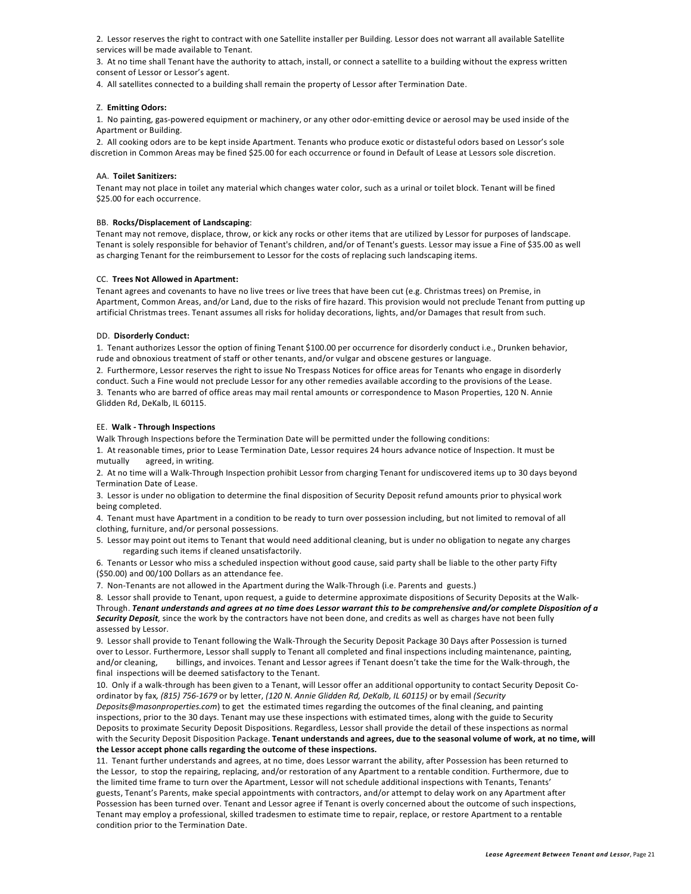2. Lessor reserves the right to contract with one Satellite installer per Building. Lessor does not warrant all available Satellite services will be made available to Tenant.

3. At no time shall Tenant have the authority to attach, install, or connect a satellite to a building without the express written consent of Lessor or Lessor's agent.

4. All satellites connected to a building shall remain the property of Lessor after Termination Date.

### Z. **Emitting Odors:**

1. No painting, gas-powered equipment or machinery, or any other odor-emitting device or aerosol may be used inside of the Apartment or Building.

2. All cooking odors are to be kept inside Apartment. Tenants who produce exotic or distasteful odors based on Lessor's sole discretion in Common Areas may be fined \$25.00 for each occurrence or found in Default of Lease at Lessors sole discretion.

# AA. **Toilet Sanitizers:**

Tenant may not place in toilet any material which changes water color, such as a urinal or toilet block. Tenant will be fined \$25.00 for each occurrence.

# BB. **Rocks/Displacement of Landscaping**:

Tenant may not remove, displace, throw, or kick any rocks or other items that are utilized by Lessor for purposes of landscape. Tenant is solely responsible for behavior of Tenant's children, and/or of Tenant's guests. Lessor may issue a Fine of \$35.00 as well as charging Tenant for the reimbursement to Lessor for the costs of replacing such landscaping items.

### CC. **Trees Not Allowed in Apartment:**

Tenant agrees and covenants to have no live trees or live trees that have been cut (e.g. Christmas trees) on Premise, in Apartment, Common Areas, and/or Land, due to the risks of fire hazard. This provision would not preclude Tenant from putting up artificial Christmas trees. Tenant assumes all risks for holiday decorations, lights, and/or Damages that result from such.

### DD. **Disorderly Conduct:**

1. Tenant authorizes Lessor the option of fining Tenant \$100.00 per occurrence for disorderly conduct i.e., Drunken behavior, rude and obnoxious treatment of staff or other tenants, and/or vulgar and obscene gestures or language.

2. Furthermore, Lessor reserves the right to issue No Trespass Notices for office areas for Tenants who engage in disorderly conduct. Such a Fine would not preclude Lessor for any other remedies available according to the provisions of the Lease. 3. Tenants who are barred of office areas may mail rental amounts or correspondence to Mason Properties, 120 N. Annie Glidden Rd, DeKalb, IL 60115.

# EE. **Walk - Through Inspections**

Walk Through Inspections before the Termination Date will be permitted under the following conditions:

1. At reasonable times, prior to Lease Termination Date, Lessor requires 24 hours advance notice of Inspection. It must be mutually agreed, in writing.

2. At no time will a Walk-Through Inspection prohibit Lessor from charging Tenant for undiscovered items up to 30 days beyond Termination Date of Lease.

3. Lessor is under no obligation to determine the final disposition of Security Deposit refund amounts prior to physical work being completed.

4. Tenant must have Apartment in a condition to be ready to turn over possession including, but not limited to removal of all clothing, furniture, and/or personal possessions.

5. Lessor may point out items to Tenant that would need additional cleaning, but is under no obligation to negate any charges regarding such items if cleaned unsatisfactorily.

6. Tenants or Lessor who miss a scheduled inspection without good cause, said party shall be liable to the other party Fifty (\$50.00) and 00/100 Dollars as an attendance fee.

7. Non-Tenants are not allowed in the Apartment during the Walk-Through (i.e. Parents and guests.)

8. Lessor shall provide to Tenant, upon request, a guide to determine approximate dispositions of Security Deposits at the Walk-Through. *Tenant understands and agrees at no time does Lessor warrant this to be comprehensive and/or complete Disposition of a Security Deposit,* since the work by the contractors have not been done, and credits as well as charges have not been fully assessed by Lessor.

9. Lessor shall provide to Tenant following the Walk-Through the Security Deposit Package 30 Days after Possession is turned over to Lessor. Furthermore, Lessor shall supply to Tenant all completed and final inspections including maintenance, painting, and/or cleaning, billings, and invoices. Tenant and Lessor agrees if Tenant doesn't take the time for the Walk-through, the final inspections will be deemed satisfactory to the Tenant.

10. Only if a walk-through has been given to a Tenant, will Lessor offer an additional opportunity to contact Security Deposit Coordinator by fax*, (815) 756-1679* or by letter, *(120 N. Annie Glidden Rd, DeKalb, IL 60115)* or by email *(Security*

*Deposits@masonproperties.com*) to get the estimated times regarding the outcomes of the final cleaning, and painting inspections, prior to the 30 days. Tenant may use these inspections with estimated times, along with the guide to Security Deposits to proximate Security Deposit Dispositions. Regardless, Lessor shall provide the detail of these inspections as normal with the Security Deposit Disposition Package. **Tenant understands and agrees, due to the seasonal volume of work, at no time, will the Lessor accept phone calls regarding the outcome of these inspections.**

11. Tenant further understands and agrees, at no time, does Lessor warrant the ability, after Possession has been returned to the Lessor, to stop the repairing, replacing, and/or restoration of any Apartment to a rentable condition. Furthermore, due to the limited time frame to turn over the Apartment, Lessor will not schedule additional inspections with Tenants, Tenants' guests, Tenant's Parents, make special appointments with contractors, and/or attempt to delay work on any Apartment after Possession has been turned over. Tenant and Lessor agree if Tenant is overly concerned about the outcome of such inspections, Tenant may employ a professional, skilled tradesmen to estimate time to repair, replace, or restore Apartment to a rentable condition prior to the Termination Date.